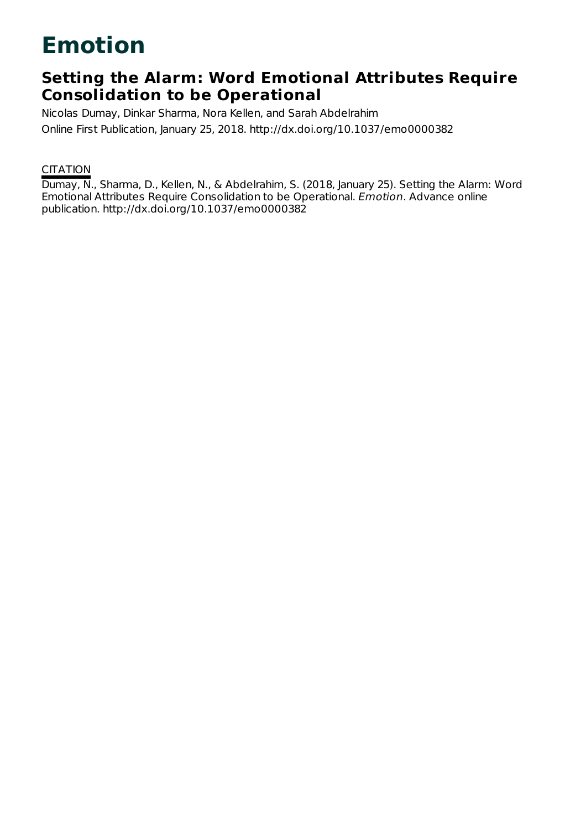# **Emotion**

# **Setting the Alarm: Word Emotional Attributes Require Consolidation to be Operational**

Nicolas Dumay, Dinkar Sharma, Nora Kellen, and Sarah Abdelrahim Online First Publication, January 25, 2018. http://dx.doi.org/10.1037/emo0000382

# **CITATION**

Dumay, N., Sharma, D., Kellen, N., & Abdelrahim, S. (2018, January 25). Setting the Alarm: Word Emotional Attributes Require Consolidation to be Operational. Emotion. Advance online publication. http://dx.doi.org/10.1037/emo0000382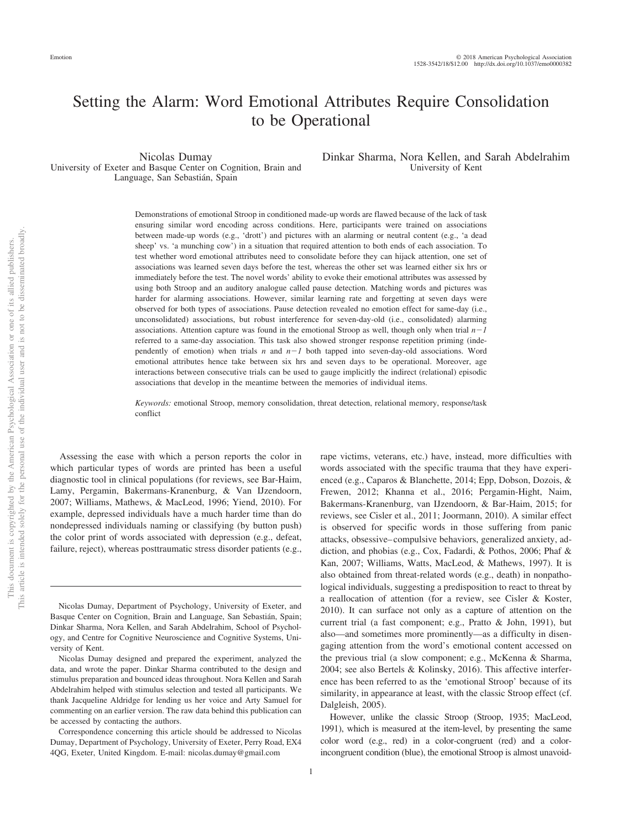# Setting the Alarm: Word Emotional Attributes Require Consolidation to be Operational

Nicolas Dumay University of Exeter and Basque Center on Cognition, Brain and Language, San Sebastián, Spain

Dinkar Sharma, Nora Kellen, and Sarah Abdelrahim University of Kent

Demonstrations of emotional Stroop in conditioned made-up words are flawed because of the lack of task ensuring similar word encoding across conditions. Here, participants were trained on associations between made-up words (e.g., 'drott') and pictures with an alarming or neutral content (e.g., 'a dead sheep' vs. 'a munching cow') in a situation that required attention to both ends of each association. To test whether word emotional attributes need to consolidate before they can hijack attention, one set of associations was learned seven days before the test, whereas the other set was learned either six hrs or immediately before the test. The novel words' ability to evoke their emotional attributes was assessed by using both Stroop and an auditory analogue called pause detection. Matching words and pictures was harder for alarming associations. However, similar learning rate and forgetting at seven days were observed for both types of associations. Pause detection revealed no emotion effect for same-day (i.e., unconsolidated) associations, but robust interference for seven-day-old (i.e., consolidated) alarming associations. Attention capture was found in the emotional Stroop as well, though only when trial  $n-1$ referred to a same-day association. This task also showed stronger response repetition priming (independently of emotion) when trials  $n$  and  $n-1$  both tapped into seven-day-old associations. Word emotional attributes hence take between six hrs and seven days to be operational. Moreover, age interactions between consecutive trials can be used to gauge implicitly the indirect (relational) episodic associations that develop in the meantime between the memories of individual items.

*Keywords:* emotional Stroop, memory consolidation, threat detection, relational memory, response/task conflict

Assessing the ease with which a person reports the color in which particular types of words are printed has been a useful diagnostic tool in clinical populations (for reviews, see Bar-Haim, Lamy, Pergamin, Bakermans-Kranenburg, & Van IJzendoorn, 2007; Williams, Mathews, & MacLeod, 1996; Yiend, 2010). For example, depressed individuals have a much harder time than do nondepressed individuals naming or classifying (by button push) the color print of words associated with depression (e.g., defeat, failure, reject), whereas posttraumatic stress disorder patients (e.g.,

words associated with the specific trauma that they have experienced (e.g., Caparos & Blanchette, 2014; Epp, Dobson, Dozois, & Frewen, 2012; Khanna et al., 2016; [Pergamin-Hight, Naim,](#page-16-0) [Bakermans-Kranenburg, van IJzendoorn, & Bar-Haim, 2015;](#page-16-0) for reviews, see Cisler et al., 2011; Joormann, 2010). A similar effect is observed for specific words in those suffering from panic attacks, obsessive– compulsive behaviors, generalized anxiety, addiction, and phobias (e.g., Cox, Fadardi, & Pothos, 2006; Phaf & Kan, 2007; Williams, Watts, MacLeod, & Mathews, 1997). It is also obtained from threat-related words (e.g., death) in nonpathological individuals, suggesting a predisposition to react to threat by a reallocation of attention (for a review, see Cisler & Koster, 2010). It can surface not only as a capture of attention on the current trial (a fast component; e.g., Pratto & John, 1991), but also—and sometimes more prominently—as a difficulty in disengaging attention from the word's emotional content accessed on the previous trial (a slow component; e.g., McKenna & Sharma, 2004; see also Bertels & Kolinsky, 2016). This affective interference has been referred to as the 'emotional Stroop' because of its similarity, in appearance at least, with the classic Stroop effect (cf. Dalgleish, 2005).

rape victims, veterans, etc.) have, instead, more difficulties with

However, unlike the classic Stroop (Stroop, 1935; MacLeod, 1991), which is measured at the item-level, by presenting the same color word (e.g., red) in a color-congruent (red) and a colorincongruent condition (blue), the emotional Stroop is almost unavoid-

Nicolas Dumay, Department of Psychology, University of Exeter, and Basque Center on Cognition, Brain and Language, San Sebastián, Spain; Dinkar Sharma, Nora Kellen, and Sarah Abdelrahim, School of Psychology, and Centre for Cognitive Neuroscience and Cognitive Systems, University of Kent.

Nicolas Dumay designed and prepared the experiment, analyzed the data, and wrote the paper. Dinkar Sharma contributed to the design and stimulus preparation and bounced ideas throughout. Nora Kellen and Sarah Abdelrahim helped with stimulus selection and tested all participants. We thank Jacqueline Aldridge for lending us her voice and Arty Samuel for commenting on an earlier version. The raw data behind this publication can be accessed by contacting the authors.

Correspondence concerning this article should be addressed to Nicolas Dumay, Department of Psychology, University of Exeter, Perry Road, EX4 4QG, Exeter, United Kingdom. E-mail: [nicolas.dumay@gmail.com](mailto:nicolas.dumay@gmail.com)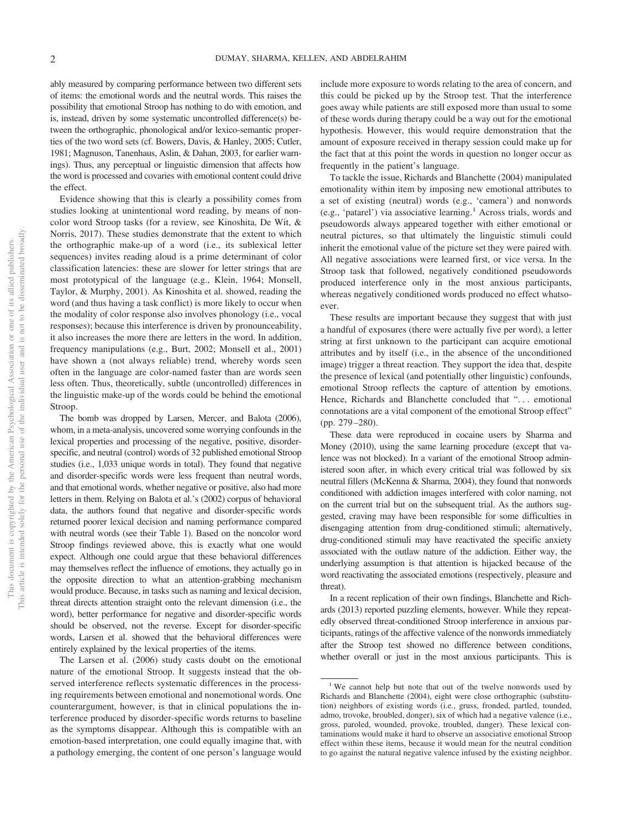ably measured by comparing performance between two different sets of items: the emotional words and the neutral words. This raises the possibility that emotional Stroop has nothing to do with emotion, and is, instead, driven by some systematic uncontrolled difference(s) between the orthographic, phonological and/or lexico-semantic properties of the two word sets (cf. Bowers, Davis, & Hanley, 2005; Cutler, 1981; Magnuson, Tanenhaus, Aslin, & Dahan, 2003, for earlier warnings). Thus, any perceptual or linguistic dimension that affects how the word is processed and covaries with emotional content could drive the effect.

Evidence showing that this is clearly a possibility comes from studies looking at unintentional word reading, by means of noncolor word Stroop tasks (for a review, see Kinoshita, De Wit, & Norris, 2017). These studies demonstrate that the extent to which the orthographic make-up of a word (i.e., its sublexical letter sequences) invites reading aloud is a prime determinant of color classification latencies: these are slower for letter strings that are most prototypical of the language (e.g., Klein, 1964; Monsell, Taylor, & Murphy, 2001). As Kinoshita et al. showed, reading the word (and thus having a task conflict) is more likely to occur when the modality of color response also involves phonology (i.e., vocal responses); because this interference is driven by pronounceability, it also increases the more there are letters in the word. In addition, frequency manipulations (e.g., Burt, 2002; Monsell et al., 2001) have shown a (not always reliable) trend, whereby words seen often in the language are color-named faster than are words seen less often. Thus, theoretically, subtle (uncontrolled) differences in the linguistic make-up of the words could be behind the emotional Stroop.

The bomb was dropped by Larsen, Mercer, and Balota (2006), whom, in a meta-analysis, uncovered some worrying confounds in the lexical properties and processing of the negative, positive, disorderspecific, and neutral (control) words of 32 published emotional Stroop studies (i.e., 1,033 unique words in total). They found that negative and disorder-specific words were less frequent than neutral words, and that emotional words, whether negative or positive, also had more letters in them. Relying on Balota et al.'s (2002) corpus of behavioral data, the authors found that negative and disorder-specific words returned poorer lexical decision and naming performance compared with neutral words (see their Table 1). Based on the noncolor word Stroop findings reviewed above, this is exactly what one would expect. Although one could argue that these behavioral differences may themselves reflect the influence of emotions, they actually go in the opposite direction to what an attention-grabbing mechanism would produce. Because, in tasks such as naming and lexical decision, threat directs attention straight onto the relevant dimension (i.e., the word), better performance for negative and disorder-specific words should be observed, not the reverse. Except for disorder-specific words, Larsen et al. showed that the behavioral differences were entirely explained by the lexical properties of the items.

The Larsen et al. (2006) study casts doubt on the emotional nature of the emotional Stroop. It suggests instead that the observed interference reflects systematic differences in the processing requirements between emotional and nonemotional words. One counterargument, however, is that in clinical populations the interference produced by disorder-specific words returns to baseline as the symptoms disappear. Although this is compatible with an emotion-based interpretation, one could equally imagine that, with a pathology emerging, the content of one person's language would include more exposure to words relating to the area of concern, and this could be picked up by the Stroop test. That the interference goes away while patients are still exposed more than usual to some of these words during therapy could be a way out for the emotional hypothesis. However, this would require demonstration that the amount of exposure received in therapy session could make up for the fact that at this point the words in question no longer occur as frequently in the patient's language.

To tackle the issue, Richards and Blanchette (2004) manipulated emotionality within item by imposing new emotional attributes to a set of existing (neutral) words (e.g., 'camera') and nonwords (e.g., 'patarel') via associative learning.<sup>1</sup> Across trials, words and pseudowords always appeared together with either emotional or neutral pictures, so that ultimately the linguistic stimuli could inherit the emotional value of the picture set they were paired with. All negative associations were learned first, or vice versa. In the Stroop task that followed, negatively conditioned pseudowords produced interference only in the most anxious participants, whereas negatively conditioned words produced no effect whatsoever.

These results are important because they suggest that with just a handful of exposures (there were actually five per word), a letter string at first unknown to the participant can acquire emotional attributes and by itself (i.e., in the absence of the unconditioned image) trigger a threat reaction. They support the idea that, despite the presence of lexical (and potentially other linguistic) confounds, emotional Stroop reflects the capture of attention by emotions. Hence, Richards and Blanchette concluded that "... emotional connotations are a vital component of the emotional Stroop effect" (pp. 279 –280).

These data were reproduced in cocaine users by Sharma and Money (2010), using the same learning procedure (except that valence was not blocked). In a variant of the emotional Stroop administered soon after, in which every critical trial was followed by six neutral fillers (McKenna & Sharma, 2004), they found that nonwords conditioned with addiction images interfered with color naming, not on the current trial but on the subsequent trial. As the authors suggested, craving may have been responsible for some difficulties in disengaging attention from drug-conditioned stimuli; alternatively, drug-conditioned stimuli may have reactivated the specific anxiety associated with the outlaw nature of the addiction. Either way, the underlying assumption is that attention is hijacked because of the word reactivating the associated emotions (respectively, pleasure and threat).

In a recent replication of their own findings, Blanchette and Richards (2013) reported puzzling elements, however. While they repeatedly observed threat-conditioned Stroop interference in anxious participants, ratings of the affective valence of the nonwords immediately after the Stroop test showed no difference between conditions, whether overall or just in the most anxious participants. This is

<sup>&</sup>lt;sup>1</sup> We cannot help but note that out of the twelve nonwords used by Richards and Blanchette (2004), eight were close orthographic (substitution) neighbors of existing words (i.e., gruss, fronded, partled, tounded, admo, trovoke, broubled, donger), six of which had a negative valence (i.e., gross, paroled, wounded, provoke, troubled, danger). These lexical contaminations would make it hard to observe an associative emotional Stroop effect within these items, because it would mean for the neutral condition to go against the natural negative valence infused by the existing neighbor.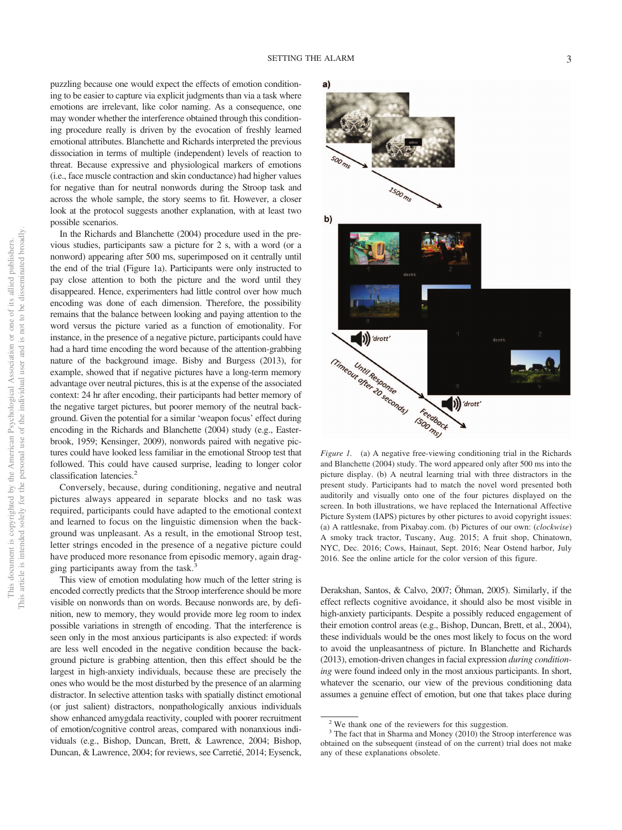puzzling because one would expect the effects of emotion conditioning to be easier to capture via explicit judgments than via a task where emotions are irrelevant, like color naming. As a consequence, one may wonder whether the interference obtained through this conditioning procedure really is driven by the evocation of freshly learned emotional attributes. Blanchette and Richards interpreted the previous dissociation in terms of multiple (independent) levels of reaction to threat. Because expressive and physiological markers of emotions (i.e., face muscle contraction and skin conductance) had higher values for negative than for neutral nonwords during the Stroop task and across the whole sample, the story seems to fit. However, a closer look at the protocol suggests another explanation, with at least two possible scenarios.

In the Richards and Blanchette (2004) procedure used in the previous studies, participants saw a picture for 2 s, with a word (or a nonword) appearing after 500 ms, superimposed on it centrally until the end of the trial (Figure 1a). Participants were only instructed to pay close attention to both the picture and the word until they disappeared. Hence, experimenters had little control over how much encoding was done of each dimension. Therefore, the possibility remains that the balance between looking and paying attention to the word versus the picture varied as a function of emotionality. For instance, in the presence of a negative picture, participants could have had a hard time encoding the word because of the attention-grabbing nature of the background image. Bisby and Burgess (2013), for example, showed that if negative pictures have a long-term memory advantage over neutral pictures, this is at the expense of the associated context: 24 hr after encoding, their participants had better memory of the negative target pictures, but poorer memory of the neutral background. Given the potential for a similar 'weapon focus' effect during encoding in the Richards and Blanchette (2004) study (e.g., Easterbrook, 1959; Kensinger, 2009), nonwords paired with negative pictures could have looked less familiar in the emotional Stroop test that followed. This could have caused surprise, leading to longer color classification latencies.2

Conversely, because, during conditioning, negative and neutral pictures always appeared in separate blocks and no task was required, participants could have adapted to the emotional context and learned to focus on the linguistic dimension when the background was unpleasant. As a result, in the emotional Stroop test, letter strings encoded in the presence of a negative picture could have produced more resonance from episodic memory, again dragging participants away from the task. $3$ 

This view of emotion modulating how much of the letter string is encoded correctly predicts that the Stroop interference should be more visible on nonwords than on words. Because nonwords are, by definition, new to memory, they would provide more leg room to index possible variations in strength of encoding. That the interference is seen only in the most anxious participants is also expected: if words are less well encoded in the negative condition because the background picture is grabbing attention, then this effect should be the largest in high-anxiety individuals, because these are precisely the ones who would be the most disturbed by the presence of an alarming distractor. In selective attention tasks with spatially distinct emotional (or just salient) distractors, nonpathologically anxious individuals show enhanced amygdala reactivity, coupled with poorer recruitment of emotion/cognitive control areas, compared with nonanxious individuals (e.g., Bishop, Duncan, Brett, & Lawrence, 2004; Bishop, Duncan, & Lawrence, 2004; for reviews, see Carretié, 2014; Eysenck,



*Figure 1.* (a) A negative free-viewing conditioning trial in the Richards and Blanchette (2004) study. The word appeared only after 500 ms into the picture display. (b) A neutral learning trial with three distractors in the present study. Participants had to match the novel word presented both auditorily and visually onto one of the four pictures displayed on the screen. In both illustrations, we have replaced the International Affective Picture System (IAPS) pictures by other pictures to avoid copyright issues: (a) A rattlesnake, from [Pixabay.com.](http://Pixabay.com) (b) Pictures of our own: (*clockwise*) A smoky track tractor, Tuscany, Aug. 2015; A fruit shop, Chinatown, NYC, Dec. 2016; Cows, Hainaut, Sept. 2016; Near Ostend harbor, July 2016. See the online article for the color version of this figure.

Derakshan, Santos, & Calvo, 2007; Öhman, 2005). Similarly, if the effect reflects cognitive avoidance, it should also be most visible in high-anxiety participants. Despite a possibly reduced engagement of their emotion control areas (e.g., Bishop, Duncan, Brett, et al., 2004), these individuals would be the ones most likely to focus on the word to avoid the unpleasantness of picture. In Blanchette and Richards (2013), emotion-driven changes in facial expression *during conditioning* were found indeed only in the most anxious participants. In short, whatever the scenario, our view of the previous conditioning data assumes a genuine effect of emotion, but one that takes place during

<sup>2</sup> We thank one of the reviewers for this suggestion.

<sup>&</sup>lt;sup>3</sup> The fact that in Sharma and Money (2010) the Stroop interference was obtained on the subsequent (instead of on the current) trial does not make any of these explanations obsolete.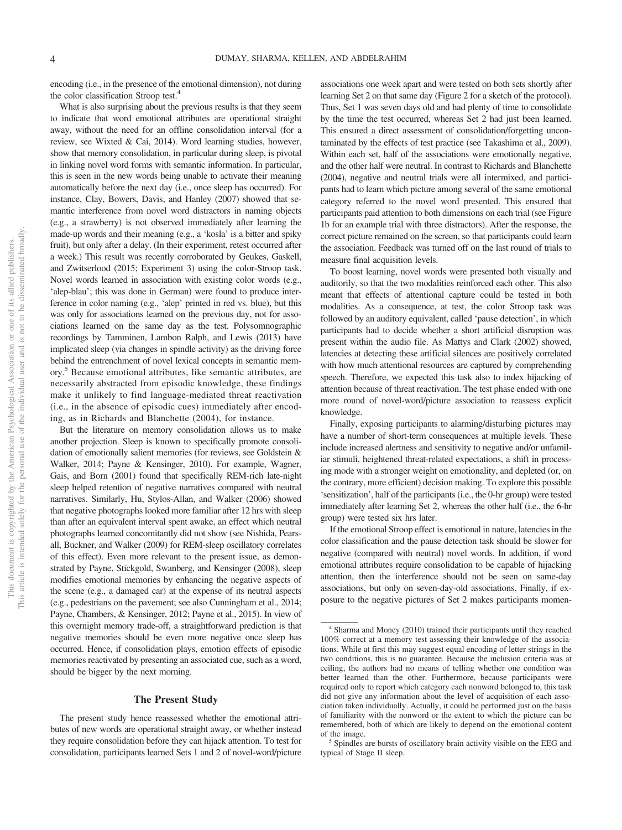encoding (i.e., in the presence of the emotional dimension), not during the color classification Stroop test.4

What is also surprising about the previous results is that they seem to indicate that word emotional attributes are operational straight away, without the need for an offline consolidation interval (for a review, see Wixted & Cai, 2014). Word learning studies, however, show that memory consolidation, in particular during sleep, is pivotal in linking novel word forms with semantic information. In particular, this is seen in the new words being unable to activate their meaning automatically before the next day (i.e., once sleep has occurred). For instance, Clay, Bowers, Davis, and Hanley (2007) showed that semantic interference from novel word distractors in naming objects (e.g., a strawberry) is not observed immediately after learning the made-up words and their meaning (e.g., a 'kosla' is a bitter and spiky fruit), but only after a delay. (In their experiment, retest occurred after a week.) This result was recently corroborated by Geukes, Gaskell, and Zwitserlood (2015; Experiment 3) using the color-Stroop task. Novel words learned in association with existing color words (e.g., 'alep-blau'; this was done in German) were found to produce interference in color naming (e.g., 'alep' printed in red vs. blue), but this was only for associations learned on the previous day, not for associations learned on the same day as the test. Polysomnographic recordings by Tamminen, Lambon Ralph, and Lewis (2013) have implicated sleep (via changes in spindle activity) as the driving force behind the entrenchment of novel lexical concepts in semantic memory.5 Because emotional attributes, like semantic attributes, are necessarily abstracted from episodic knowledge, these findings make it unlikely to find language-mediated threat reactivation (i.e., in the absence of episodic cues) immediately after encoding, as in Richards and Blanchette (2004), for instance.

But the literature on memory consolidation allows us to make another projection. Sleep is known to specifically promote consolidation of emotionally salient memories (for reviews, see Goldstein & Walker, 2014; Payne & Kensinger, 2010). For example, Wagner, Gais, and Born (2001) found that specifically REM-rich late-night sleep helped retention of negative narratives compared with neutral narratives. Similarly, Hu, Stylos-Allan, and Walker (2006) showed that negative photographs looked more familiar after 12 hrs with sleep than after an equivalent interval spent awake, an effect which neutral photographs learned concomitantly did not show (see Nishida, Pearsall, Buckner, and Walker (2009) for REM-sleep oscillatory correlates of this effect). Even more relevant to the present issue, as demonstrated by Payne, Stickgold, Swanberg, and Kensinger (2008), sleep modifies emotional memories by enhancing the negative aspects of the scene (e.g., a damaged car) at the expense of its neutral aspects (e.g., pedestrians on the pavement; see also Cunningham et al., 2014; Payne, Chambers, & Kensinger, 2012; Payne et al., 2015). In view of this overnight memory trade-off, a straightforward prediction is that negative memories should be even more negative once sleep has occurred. Hence, if consolidation plays, emotion effects of episodic memories reactivated by presenting an associated cue, such as a word, should be bigger by the next morning.

#### **The Present Study**

The present study hence reassessed whether the emotional attributes of new words are operational straight away, or whether instead they require consolidation before they can hijack attention. To test for consolidation, participants learned Sets 1 and 2 of novel-word/picture

associations one week apart and were tested on both sets shortly after learning Set 2 on that same day [\(Figure 2](#page-5-0) for a sketch of the protocol). Thus, Set 1 was seven days old and had plenty of time to consolidate by the time the test occurred, whereas Set 2 had just been learned. This ensured a direct assessment of consolidation/forgetting uncontaminated by the effects of test practice (see Takashima et al., 2009). Within each set, half of the associations were emotionally negative, and the other half were neutral. In contrast to Richards and Blanchette (2004), negative and neutral trials were all intermixed, and participants had to learn which picture among several of the same emotional category referred to the novel word presented. This ensured that participants paid attention to both dimensions on each trial (see Figure 1b for an example trial with three distractors). After the response, the correct picture remained on the screen, so that participants could learn the association. Feedback was turned off on the last round of trials to measure final acquisition levels.

To boost learning, novel words were presented both visually and auditorily, so that the two modalities reinforced each other. This also meant that effects of attentional capture could be tested in both modalities. As a consequence, at test, the color Stroop task was followed by an auditory equivalent, called 'pause detection', in which participants had to decide whether a short artificial disruption was present within the audio file. As Mattys and Clark (2002) showed, latencies at detecting these artificial silences are positively correlated with how much attentional resources are captured by comprehending speech. Therefore, we expected this task also to index hijacking of attention because of threat reactivation. The test phase ended with one more round of novel-word/picture association to reassess explicit knowledge.

Finally, exposing participants to alarming/disturbing pictures may have a number of short-term consequences at multiple levels. These include increased alertness and sensitivity to negative and/or unfamiliar stimuli, heightened threat-related expectations, a shift in processing mode with a stronger weight on emotionality, and depleted (or, on the contrary, more efficient) decision making. To explore this possible 'sensitization', half of the participants (i.e., the 0-hr group) were tested immediately after learning Set 2, whereas the other half (i.e., the 6-hr group) were tested six hrs later.

If the emotional Stroop effect is emotional in nature, latencies in the color classification and the pause detection task should be slower for negative (compared with neutral) novel words. In addition, if word emotional attributes require consolidation to be capable of hijacking attention, then the interference should not be seen on same-day associations, but only on seven-day-old associations. Finally, if exposure to the negative pictures of Set 2 makes participants momen-

<sup>4</sup> Sharma and Money (2010) trained their participants until they reached 100% correct at a memory test assessing their knowledge of the associations. While at first this may suggest equal encoding of letter strings in the two conditions, this is no guarantee. Because the inclusion criteria was at ceiling, the authors had no means of telling whether one condition was better learned than the other. Furthermore, because participants were required only to report which category each nonword belonged to, this task did not give any information about the level of acquisition of each association taken individually. Actually, it could be performed just on the basis of familiarity with the nonword or the extent to which the picture can be remembered, both of which are likely to depend on the emotional content

of the image.<br><sup>5</sup> Spindles are bursts of oscillatory brain activity visible on the EEG and typical of Stage II sleep.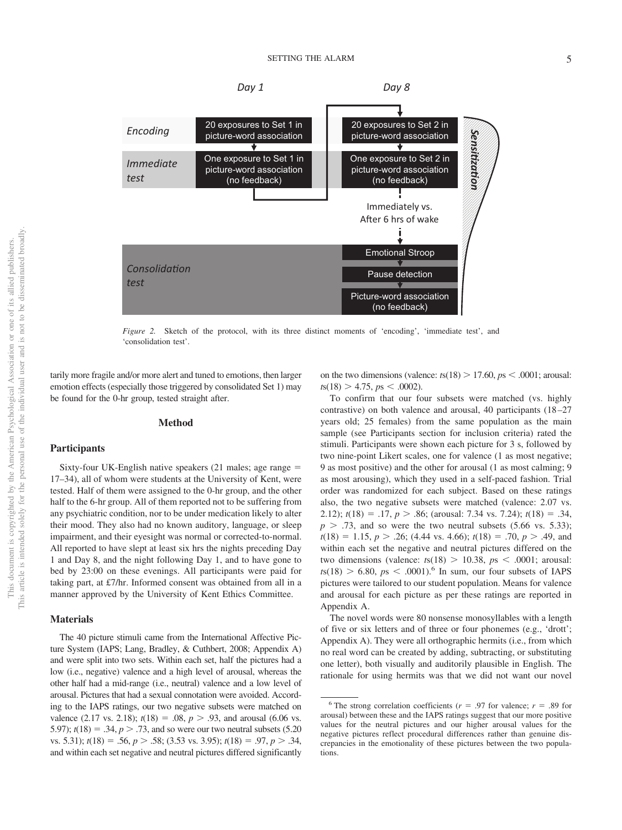

<span id="page-5-0"></span>*Figure 2.* Sketch of the protocol, with its three distinct moments of 'encoding', 'immediate test', and 'consolidation test'.

tarily more fragile and/or more alert and tuned to emotions, then larger emotion effects (especially those triggered by consolidated Set 1) may be found for the 0-hr group, tested straight after.

#### **Method**

#### **Participants**

Sixty-four UK-English native speakers (21 males; age range 17–34), all of whom were students at the University of Kent, were tested. Half of them were assigned to the 0-hr group, and the other half to the 6-hr group. All of them reported not to be suffering from any psychiatric condition, nor to be under medication likely to alter their mood. They also had no known auditory, language, or sleep impairment, and their eyesight was normal or corrected-to-normal. All reported to have slept at least six hrs the nights preceding Day 1 and Day 8, and the night following Day 1, and to have gone to bed by 23:00 on these evenings. All participants were paid for taking part, at £7/hr. Informed consent was obtained from all in a manner approved by the University of Kent Ethics Committee.

#### **Materials**

The 40 picture stimuli came from the International Affective Picture System (IAPS; Lang, Bradley, & Cuthbert, 2008; Appendix A) and were split into two sets. Within each set, half the pictures had a low (i.e., negative) valence and a high level of arousal, whereas the other half had a mid-range (i.e., neutral) valence and a low level of arousal. Pictures that had a sexual connotation were avoided. According to the IAPS ratings, our two negative subsets were matched on valence (2.17 vs. 2.18);  $t(18) = .08$ ,  $p > .93$ , and arousal (6.06 vs. 5.97);  $t(18) = .34, p > .73$ , and so were our two neutral subsets (5.20) vs. 5.31);  $t(18) = .56$ ,  $p > .58$ ; (3.53 vs. 3.95);  $t(18) = .97$ ,  $p > .34$ , and within each set negative and neutral pictures differed significantly on the two dimensions (valence:  $t s(18) > 17.60$ ,  $p s < .0001$ ; arousal:  $t s(18) > 4.75$ ,  $p s < .0002$ ).

To confirm that our four subsets were matched (vs. highly contrastive) on both valence and arousal, 40 participants (18 –27 years old; 25 females) from the same population as the main sample (see Participants section for inclusion criteria) rated the stimuli. Participants were shown each picture for 3 s, followed by two nine-point Likert scales, one for valence (1 as most negative; 9 as most positive) and the other for arousal (1 as most calming; 9 as most arousing), which they used in a self-paced fashion. Trial order was randomized for each subject. Based on these ratings also, the two negative subsets were matched (valence: 2.07 vs. 2.12);  $t(18) = .17, p > .86$ ; (arousal: 7.34 vs. 7.24);  $t(18) = .34$ ,  $p > .73$ , and so were the two neutral subsets (5.66 vs. 5.33);  $t(18) = 1.15, p > .26$ ; (4.44 vs. 4.66);  $t(18) = .70, p > .49$ , and within each set the negative and neutral pictures differed on the two dimensions (valence:  $t s(18) > 10.38$ ,  $p s < .0001$ ; arousal:  $t s(18) > 6.80$ ,  $p s < .0001$ .<sup>6</sup> In sum, our four subsets of IAPS pictures were tailored to our student population. Means for valence and arousal for each picture as per these ratings are reported in Appendix A.

The novel words were 80 nonsense monosyllables with a length of five or six letters and of three or four phonemes (e.g., 'drott'; Appendix A). They were all orthographic hermits (i.e., from which no real word can be created by adding, subtracting, or substituting one letter), both visually and auditorily plausible in English. The rationale for using hermits was that we did not want our novel

<sup>&</sup>lt;sup>6</sup> The strong correlation coefficients ( $r = .97$  for valence;  $r = .89$  for arousal) between these and the IAPS ratings suggest that our more positive values for the neutral pictures and our higher arousal values for the negative pictures reflect procedural differences rather than genuine discrepancies in the emotionality of these pictures between the two populations.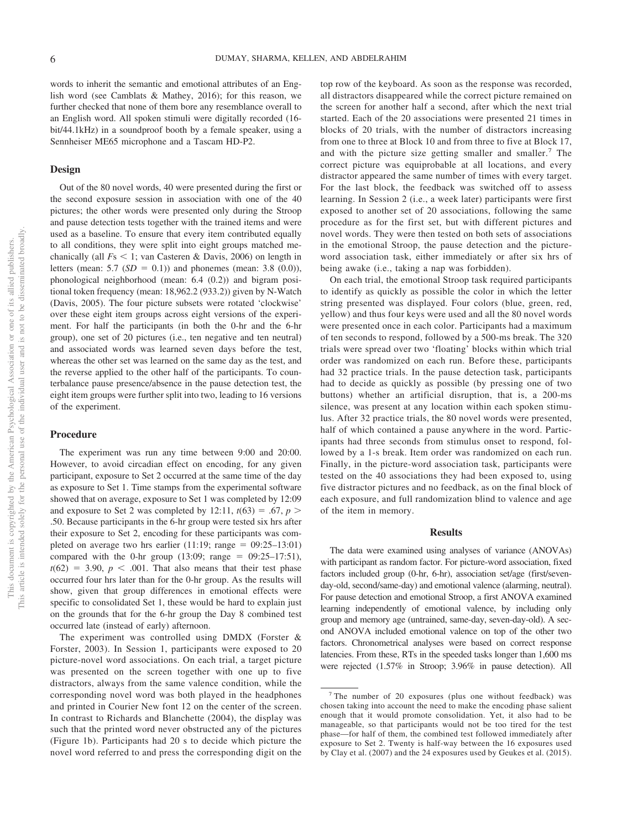words to inherit the semantic and emotional attributes of an English word (see Camblats & Mathey, 2016); for this reason, we further checked that none of them bore any resemblance overall to an English word. All spoken stimuli were digitally recorded (16 bit/44.1kHz) in a soundproof booth by a female speaker, using a Sennheiser ME65 microphone and a Tascam HD-P2.

### **Design**

Out of the 80 novel words, 40 were presented during the first or the second exposure session in association with one of the 40 pictures; the other words were presented only during the Stroop and pause detection tests together with the trained items and were used as a baseline. To ensure that every item contributed equally to all conditions, they were split into eight groups matched mechanically (all  $Fs < 1$ ; van Casteren & Davis, 2006) on length in letters (mean: 5.7 ( $SD = 0.1$ )) and phonemes (mean: 3.8 (0.0)), phonological neighborhood (mean: 6.4 (0.2)) and bigram positional token frequency (mean: 18,962.2 (933.2)) given by N-Watch (Davis, 2005). The four picture subsets were rotated 'clockwise' over these eight item groups across eight versions of the experiment. For half the participants (in both the 0-hr and the 6-hr group), one set of 20 pictures (i.e., ten negative and ten neutral) and associated words was learned seven days before the test, whereas the other set was learned on the same day as the test, and the reverse applied to the other half of the participants. To counterbalance pause presence/absence in the pause detection test, the eight item groups were further split into two, leading to 16 versions of the experiment.

#### **Procedure**

The experiment was run any time between 9:00 and 20:00. However, to avoid circadian effect on encoding, for any given participant, exposure to Set 2 occurred at the same time of the day as exposure to Set 1. Time stamps from the experimental software showed that on average, exposure to Set 1 was completed by 12:09 and exposure to Set 2 was completed by 12:11,  $t(63) = .67$ ,  $p >$ .50. Because participants in the 6-hr group were tested six hrs after their exposure to Set 2, encoding for these participants was completed on average two hrs earlier  $(11:19; \text{ range} = 09:25-13:01)$ compared with the 0-hr group (13:09; range =  $09:25-17:51$ ),  $t(62) = 3.90, p < .001$ . That also means that their test phase occurred four hrs later than for the 0-hr group. As the results will show, given that group differences in emotional effects were specific to consolidated Set 1, these would be hard to explain just on the grounds that for the 6-hr group the Day 8 combined test occurred late (instead of early) afternoon.

The experiment was controlled using DMDX (Forster & Forster, 2003). In Session 1, participants were exposed to 20 picture-novel word associations. On each trial, a target picture was presented on the screen together with one up to five distractors, always from the same valence condition, while the corresponding novel word was both played in the headphones and printed in Courier New font 12 on the center of the screen. In contrast to Richards and Blanchette (2004), the display was such that the printed word never obstructed any of the pictures (Figure 1b). Participants had 20 s to decide which picture the novel word referred to and press the corresponding digit on the

top row of the keyboard. As soon as the response was recorded, all distractors disappeared while the correct picture remained on the screen for another half a second, after which the next trial started. Each of the 20 associations were presented 21 times in blocks of 20 trials, with the number of distractors increasing from one to three at Block 10 and from three to five at Block 17, and with the picture size getting smaller and smaller.<sup>7</sup> The correct picture was equiprobable at all locations, and every distractor appeared the same number of times with every target. For the last block, the feedback was switched off to assess learning. In Session 2 (i.e., a week later) participants were first exposed to another set of 20 associations, following the same procedure as for the first set, but with different pictures and novel words. They were then tested on both sets of associations in the emotional Stroop, the pause detection and the pictureword association task, either immediately or after six hrs of being awake (i.e., taking a nap was forbidden).

On each trial, the emotional Stroop task required participants to identify as quickly as possible the color in which the letter string presented was displayed. Four colors (blue, green, red, yellow) and thus four keys were used and all the 80 novel words were presented once in each color. Participants had a maximum of ten seconds to respond, followed by a 500-ms break. The 320 trials were spread over two 'floating' blocks within which trial order was randomized on each run. Before these, participants had 32 practice trials. In the pause detection task, participants had to decide as quickly as possible (by pressing one of two buttons) whether an artificial disruption, that is, a 200-ms silence, was present at any location within each spoken stimulus. After 32 practice trials, the 80 novel words were presented, half of which contained a pause anywhere in the word. Participants had three seconds from stimulus onset to respond, followed by a 1-s break. Item order was randomized on each run. Finally, in the picture-word association task, participants were tested on the 40 associations they had been exposed to, using five distractor pictures and no feedback, as on the final block of each exposure, and full randomization blind to valence and age of the item in memory.

#### **Results**

The data were examined using analyses of variance (ANOVAs) with participant as random factor. For picture-word association, fixed factors included group (0-hr, 6-hr), association set/age (first/sevenday-old, second/same-day) and emotional valence (alarming, neutral). For pause detection and emotional Stroop, a first ANOVA examined learning independently of emotional valence, by including only group and memory age (untrained, same-day, seven-day-old). A second ANOVA included emotional valence on top of the other two factors. Chronometrical analyses were based on correct response latencies. From these, RTs in the speeded tasks longer than 1,600 ms were rejected (1.57% in Stroop; 3.96% in pause detection). All

<sup>7</sup> The number of 20 exposures (plus one without feedback) was chosen taking into account the need to make the encoding phase salient enough that it would promote consolidation. Yet, it also had to be manageable, so that participants would not be too tired for the test phase—for half of them, the combined test followed immediately after exposure to Set 2. Twenty is half-way between the 16 exposures used by Clay et al. (2007) and the 24 exposures used by Geukes et al. (2015).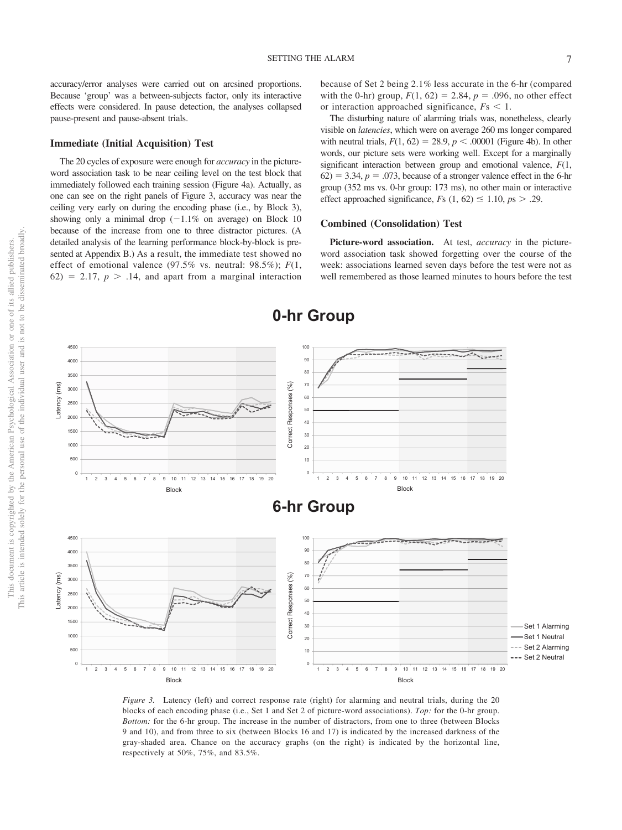accuracy/error analyses were carried out on arcsined proportions. Because 'group' was a between-subjects factor, only its interactive effects were considered. In pause detection, the analyses collapsed pause-present and pause-absent trials.

#### **Immediate (Initial Acquisition) Test**

The 20 cycles of exposure were enough for *accuracy* in the pictureword association task to be near ceiling level on the test block that immediately followed each training session [\(Figure 4a\)](#page-8-0). Actually, as one can see on the right panels of [Figure 3,](#page-7-0) accuracy was near the ceiling very early on during the encoding phase (i.e., by Block 3), showing only a minimal drop  $(-1.1\%$  on average) on Block 10 because of the increase from one to three distractor pictures. (A detailed analysis of the learning performance block-by-block is presented at Appendix B.) As a result, the immediate test showed no effect of emotional valence (97.5% vs. neutral: 98.5%); *F*(1,  $62$ ) = 2.17,  $p > 0.14$ , and apart from a marginal interaction because of Set 2 being 2.1% less accurate in the 6-hr (compared with the 0-hr) group,  $F(1, 62) = 2.84$ ,  $p = .096$ , no other effect or interaction approached significance,  $Fs < 1$ .

The disturbing nature of alarming trials was, nonetheless, clearly visible on *latencies*, which were on average 260 ms longer compared with neutral trials,  $F(1, 62) = 28.9$ ,  $p < .00001$  [\(Figure 4b\)](#page-8-0). In other words, our picture sets were working well. Except for a marginally significant interaction between group and emotional valence, *F*(1,  $62$ ) = 3.34,  $p = .073$ , because of a stronger valence effect in the 6-hr group (352 ms vs. 0-hr group: 173 ms), no other main or interactive effect approached significance,  $Fs(1, 62) \le 1.10, ps > .29$ .

#### **Combined (Consolidation) Test**

**Picture-word association.** At test, *accuracy* in the pictureword association task showed forgetting over the course of the week: associations learned seven days before the test were not as well remembered as those learned minutes to hours before the test



<span id="page-7-0"></span>*Figure 3.* Latency (left) and correct response rate (right) for alarming and neutral trials, during the 20 blocks of each encoding phase (i.e., Set 1 and Set 2 of picture-word associations). *Top:* for the 0-hr group. *Bottom:* for the 6-hr group. The increase in the number of distractors, from one to three (between Blocks 9 and 10), and from three to six (between Blocks 16 and 17) is indicated by the increased darkness of the gray-shaded area. Chance on the accuracy graphs (on the right) is indicated by the horizontal line, respectively at 50%, 75%, and 83.5%.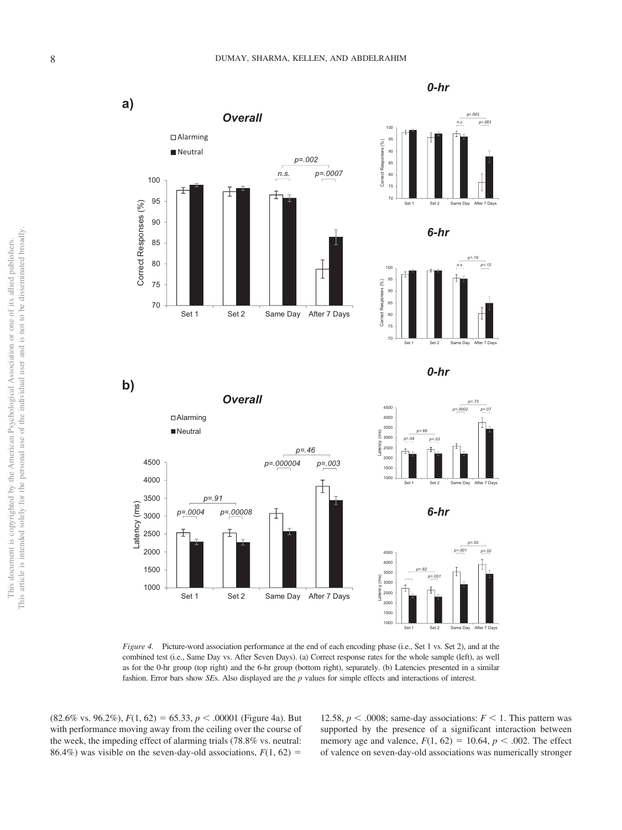





<span id="page-8-0"></span>*Figure 4.* Picture-word association performance at the end of each encoding phase (i.e., Set 1 vs. Set 2), and at the combined test (i.e., Same Day vs. After Seven Days). (a) Correct response rates for the whole sample (left), as well as for the 0-hr group (top right) and the 6-hr group (bottom right), separately. (b) Latencies presented in a similar fashion. Error bars show *SE*s. Also displayed are the *p* values for simple effects and interactions of interest.

Set 1 Set 2 Same Day After 7 Days

t

*p=.0004 p=.00008*

 $(82.6\% \text{ vs. } 96.2\%), F(1, 62) = 65.33, p < .00001$  [\(Figure 4a\)](#page-8-0). But with performance moving away from the ceiling over the course of the week, the impeding effect of alarming trials (78.8% vs. neutral: 86.4%) was visible on the seven-day-old associations,  $F(1, 62) =$ 

> 12.58,  $p < .0008$ ; same-day associations:  $F < 1$ . This pattern was supported by the presence of a significant interaction between memory age and valence,  $F(1, 62) = 10.64$ ,  $p < .002$ . The effect of valence on seven-day-old associations was numerically stronger

*0-hr* 

*p=.001 p*=.00

*p=.19*

*p=.73*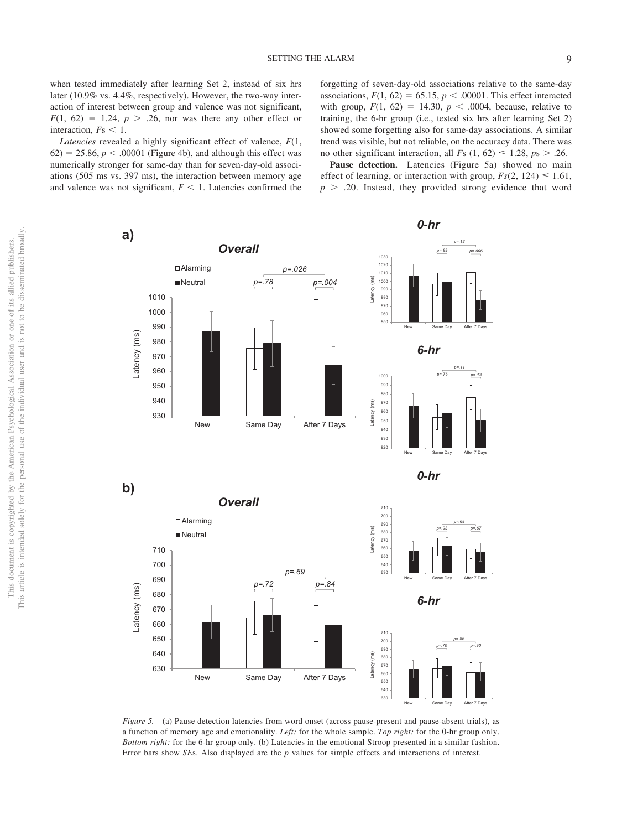*Latencies* revealed a highly significant effect of valence, *F*(1,  $62$ ) = 25.86,  $p < .00001$  [\(Figure 4b\)](#page-8-0), and although this effect was numerically stronger for same-day than for seven-day-old associations (505 ms vs. 397 ms), the interaction between memory age and valence was not significant,  $F < 1$ . Latencies confirmed the

forgetting of seven-day-old associations relative to the same-day associations,  $F(1, 62) = 65.15$ ,  $p < .00001$ . This effect interacted with group,  $F(1, 62) = 14.30, p < .0004$ , because, relative to training, the 6-hr group (i.e., tested six hrs after learning Set 2) showed some forgetting also for same-day associations. A similar trend was visible, but not reliable, on the accuracy data. There was no other significant interaction, all *F*s  $(1, 62) \le 1.28$ ,  $ps > .26$ .

Pause detection. Latencies [\(Figure 5a\)](#page-9-0) showed no main effect of learning, or interaction with group,  $Fs(2, 124) \le 1.61$ ,  $p > .20$ . Instead, they provided strong evidence that word



<span id="page-9-0"></span>*Figure 5.* (a) Pause detection latencies from word onset (across pause-present and pause-absent trials), as a function of memory age and emotionality. *Left:* for the whole sample. *Top right:* for the 0-hr group only. *Bottom right:* for the 6-hr group only. (b) Latencies in the emotional Stroop presented in a similar fashion. Error bars show *SE*s. Also displayed are the *p* values for simple effects and interactions of interest.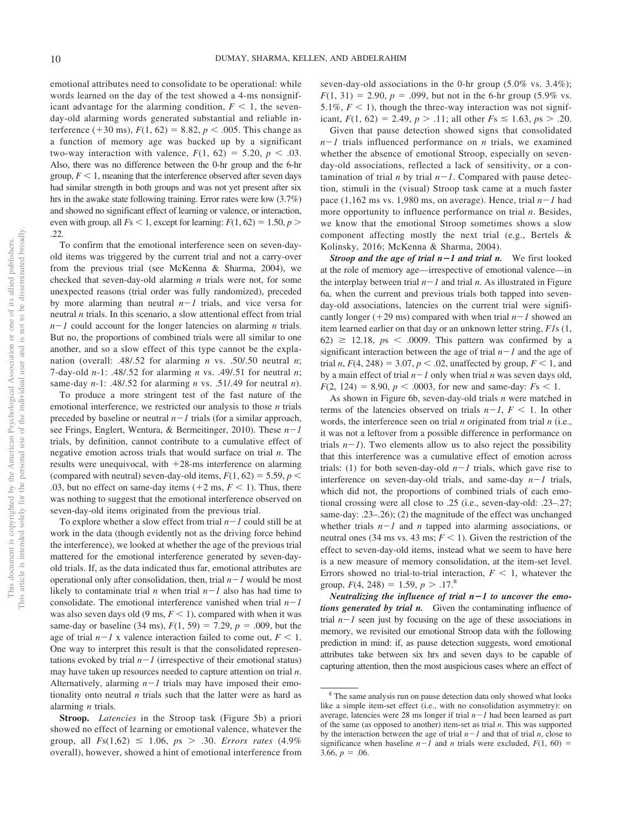emotional attributes need to consolidate to be operational: while words learned on the day of the test showed a 4-ms nonsignificant advantage for the alarming condition,  $F \leq 1$ , the sevenday-old alarming words generated substantial and reliable interference (+30 ms),  $F(1, 62) = 8.82$ ,  $p < .005$ . This change as a function of memory age was backed up by a significant two-way interaction with valence,  $F(1, 62) = 5.20, p < .03$ . Also, there was no difference between the 0-hr group and the 6-hr group,  $F < 1$ , meaning that the interference observed after seven days had similar strength in both groups and was not yet present after six hrs in the awake state following training. Error rates were low (3.7%) and showed no significant effect of learning or valence, or interaction, even with group, all  $F_s < 1$ , except for learning:  $F(1, 62) = 1.50, p > 0$ .22.

To confirm that the emotional interference seen on seven-dayold items was triggered by the current trial and not a carry-over from the previous trial (see McKenna & Sharma, 2004), we checked that seven-day-old alarming *n* trials were not, for some unexpected reasons (trial order was fully randomized), preceded by more alarming than neutral  $n-1$  trials, and vice versa for neutral *n* trials. In this scenario, a slow attentional effect from trial *n*-*1* could account for the longer latencies on alarming *n* trials. But no, the proportions of combined trials were all similar to one another, and so a slow effect of this type cannot be the explanation (overall: .48/.52 for alarming *n* vs. .50/.50 neutral *n*; 7-day-old *n*-1: .48/.52 for alarming *n* vs. .49/.51 for neutral *n*; same-day *n*-1: .48/.52 for alarming *n* vs. .51/.49 for neutral *n*).

To produce a more stringent test of the fast nature of the emotional interference, we restricted our analysis to those *n* trials preceded by baseline or neutral  $n-1$  trials (for a similar approach, see Frings, Englert, Wentura, & Bermeitinger, 2010). These *n*-*1* trials, by definition, cannot contribute to a cumulative effect of negative emotion across trials that would surface on trial *n*. The results were unequivocal, with  $+28$ -ms interference on alarming (compared with neutral) seven-day-old items,  $F(1, 62) = 5.59$ ,  $p <$ .03, but no effect on same-day items  $(+2 \text{ ms}, F \le 1)$ . Thus, there was nothing to suggest that the emotional interference observed on seven-day-old items originated from the previous trial.

To explore whether a slow effect from trial  $n-1$  could still be at work in the data (though evidently not as the driving force behind the interference), we looked at whether the age of the previous trial mattered for the emotional interference generated by seven-dayold trials. If, as the data indicated thus far, emotional attributes are operational only after consolidation, then, trial  $n-1$  would be most likely to contaminate trial  $n$  when trial  $n-1$  also has had time to consolidate. The emotional interference vanished when trial  $n-1$ was also seven days old  $(9 \text{ ms}, F \le 1)$ , compared with when it was same-day or baseline (34 ms),  $F(1, 59) = 7.29$ ,  $p = .009$ , but the age of trial  $n-1$  x valence interaction failed to come out,  $F < 1$ . One way to interpret this result is that the consolidated representations evoked by trial  $n-1$  (irrespective of their emotional status) may have taken up resources needed to capture attention on trial *n*. Alternatively, alarming  $n-1$  trials may have imposed their emotionality onto neutral *n* trials such that the latter were as hard as alarming *n* trials.

**Stroop.** *Latencies* in the Stroop task [\(Figure 5b\)](#page-9-0) a priori showed no effect of learning or emotional valence, whatever the group, all  $Fs(1,62) \le 1.06$ ,  $ps > .30$ . *Errors rates*  $(4.9\%$ overall), however, showed a hint of emotional interference from seven-day-old associations in the 0-hr group (5.0% vs. 3.4%);  $F(1, 31) = 2.90, p = .099$ , but not in the 6-hr group (5.9% vs. 5.1%,  $F < 1$ ), though the three-way interaction was not significant,  $F(1, 62) = 2.49, p > .11$ ; all other  $Fs \le 1.63, ps > .20$ .

Given that pause detection showed signs that consolidated  $n-1$  trials influenced performance on *n* trials, we examined whether the absence of emotional Stroop, especially on sevenday-old associations, reflected a lack of sensitivity, or a contamination of trial  $n$  by trial  $n-1$ . Compared with pause detection, stimuli in the (visual) Stroop task came at a much faster pace  $(1, 162 \text{ ms vs. } 1,980 \text{ ms, on average})$ . Hence, trial  $n-1$  had more opportunity to influence performance on trial *n*. Besides, we know that the emotional Stroop sometimes shows a slow component affecting mostly the next trial (e.g., Bertels & Kolinsky, 2016; McKenna & Sharma, 2004).

*Stroop and the age of trial n*-*1 and trial n.* We first looked at the role of memory age—irrespective of emotional valence—in the interplay between trial  $n-1$  and trial *n*. As illustrated in [Figure](#page-11-0) [6a,](#page-11-0) when the current and previous trials both tapped into sevenday-old associations, latencies on the current trial were significantly longer ( $+29 \text{ ms}$ ) compared with when trial  $n-1$  showed an item learned earlier on that day or an unknown letter string, *F1*s (1,  $62) \ge 12.18$ ,  $ps \le .0009$ . This pattern was confirmed by a significant interaction between the age of trial  $n-1$  and the age of trial *n*,  $F(4, 248) = 3.07$ ,  $p < .02$ , unaffected by group,  $F < 1$ , and by a main effect of trial  $n-1$  only when trial  $n$  was seven days old,  $F(2, 124) = 8.90, p < .0003$ , for new and same-day:  $Fs < 1$ .

As shown in [Figure 6b,](#page-11-0) seven-day-old trials *n* were matched in terms of the latencies observed on trials  $n-1$ ,  $F < 1$ . In other words, the interference seen on trial *n* originated from trial *n* (i.e., it was not a leftover from a possible difference in performance on trials  $n-1$ ). Two elements allow us to also reject the possibility that this interference was a cumulative effect of emotion across trials: (1) for both seven-day-old  $n-1$  trials, which gave rise to interference on seven-day-old trials, and same-day  $n-1$  trials, which did not, the proportions of combined trials of each emotional crossing were all close to .25 (i.e., seven-day-old: .23–.27; same-day: .23–.26); (2) the magnitude of the effect was unchanged whether trials  $n-1$  and *n* tapped into alarming associations, or neutral ones (34 ms vs. 43 ms;  $F < 1$ ). Given the restriction of the effect to seven-day-old items, instead what we seem to have here is a new measure of memory consolidation, at the item-set level. Errors showed no trial-to-trial interaction,  $F < 1$ , whatever the group,  $F(4, 248) = 1.59, p > .17$ .<sup>8</sup>

*Neutralizing the influence of trial n*-*1 to uncover the emotions generated by trial n.* Given the contaminating influence of trial  $n-1$  seen just by focusing on the age of these associations in memory, we revisited our emotional Stroop data with the following prediction in mind: if, as pause detection suggests, word emotional attributes take between six hrs and seven days to be capable of capturing attention, then the most auspicious cases where an effect of

<sup>&</sup>lt;sup>8</sup> The same analysis run on pause detection data only showed what looks like a simple item-set effect (i.e., with no consolidation asymmetry): on average, latencies were 28 ms longer if trial  $n-1$  had been learned as part of the same (as opposed to another) item-set as trial *n*. This was supported by the interaction between the age of trial  $n-1$  and that of trial *n*, close to significance when baseline  $n-1$  and *n* trials were excluded,  $F(1, 60) =$  $3.66, p = .06$ .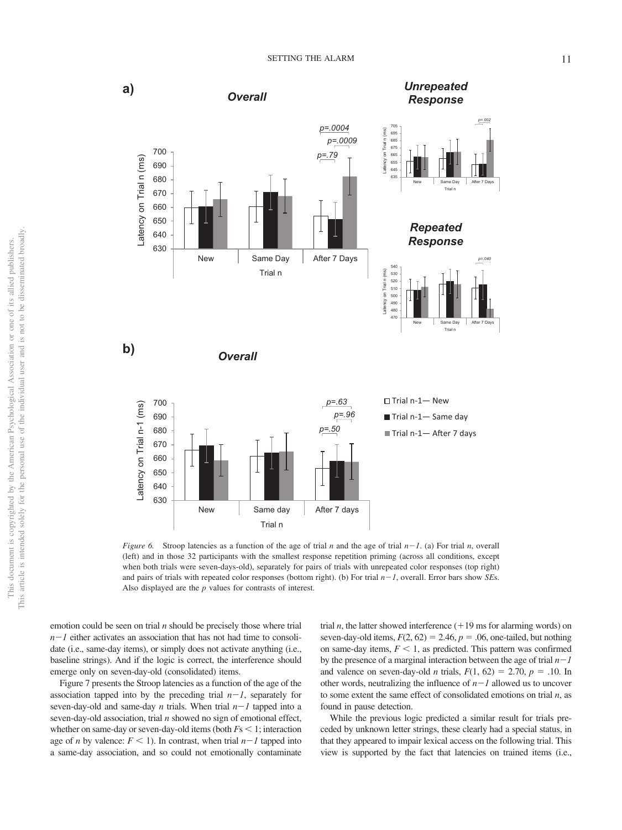



<span id="page-11-0"></span>*Figure 6.* Stroop latencies as a function of the age of trial *n* and the age of trial  $n-1$ . (a) For trial *n*, overall (left) and in those 32 participants with the smallest response repetition priming (across all conditions, except when both trials were seven-days-old), separately for pairs of trials with unrepeated color responses (top right) and pairs of trials with repeated color responses (bottom right). (b) For trial *n*-*1*, overall. Error bars show *SE*s. Also displayed are the *p* values for contrasts of interest.

emotion could be seen on trial *n* should be precisely those where trial *n*-*1* either activates an association that has not had time to consolidate (i.e., same-day items), or simply does not activate anything (i.e., baseline strings). And if the logic is correct, the interference should emerge only on seven-day-old (consolidated) items.

[Figure 7](#page-12-0) presents the Stroop latencies as a function of the age of the association tapped into by the preceding trial  $n-1$ , separately for seven-day-old and same-day  $n$  trials. When trial  $n-1$  tapped into a seven-day-old association, trial *n* showed no sign of emotional effect, whether on same-day or seven-day-old items (both  $Fs < 1$ ; interaction age of *n* by valence:  $F \leq 1$ ). In contrast, when trial  $n-1$  tapped into a same-day association, and so could not emotionally contaminate

trial *n*, the latter showed interference  $(+19 \text{ ms}$  for alarming words) on seven-day-old items,  $F(2, 62) = 2.46$ ,  $p = .06$ , one-tailed, but nothing on same-day items,  $F < 1$ , as predicted. This pattern was confirmed by the presence of a marginal interaction between the age of trial  $n-1$ and valence on seven-day-old *n* trials,  $F(1, 62) = 2.70$ ,  $p = .10$ . In other words, neutralizing the influence of  $n-1$  allowed us to uncover to some extent the same effect of consolidated emotions on trial *n*, as found in pause detection.

While the previous logic predicted a similar result for trials preceded by unknown letter strings, these clearly had a special status, in that they appeared to impair lexical access on the following trial. This view is supported by the fact that latencies on trained items (i.e.,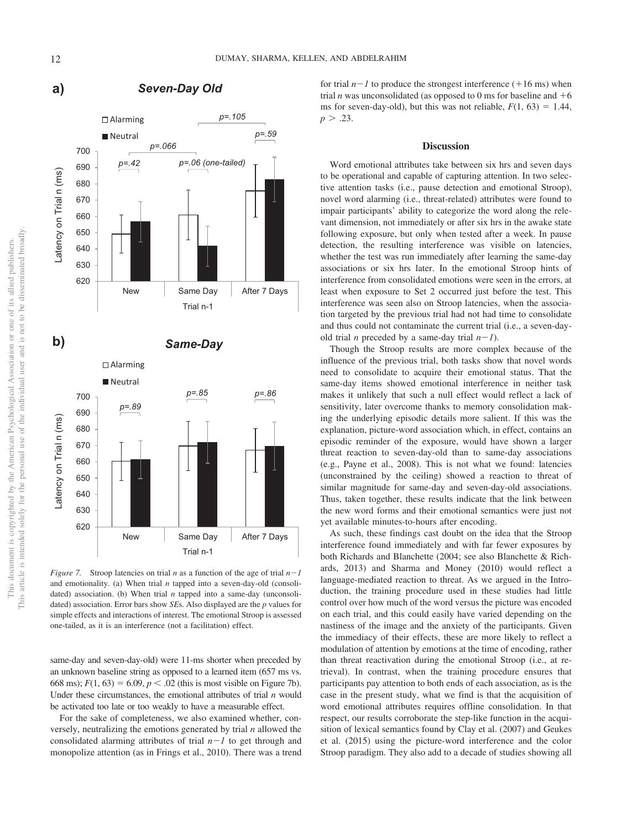

# **a)** *Seven-Day Old*

<span id="page-12-0"></span>*Figure 7.* Stroop latencies on trial *n* as a function of the age of trial  $n-1$ and emotionality. (a) When trial *n* tapped into a seven-day-old (consolidated) association. (b) When trial *n* tapped into a same-day (unconsolidated) association. Error bars show *SE*s. Also displayed are the *p* values for simple effects and interactions of interest. The emotional Stroop is assessed one-tailed, as it is an interference (not a facilitation) effect.

same-day and seven-day-old) were 11-ms shorter when preceded by an unknown baseline string as opposed to a learned item (657 ms vs. 668 ms);  $F(1, 63) = 6.09$ ,  $p < .02$  (this is most visible on [Figure 7b\)](#page-12-0). Under these circumstances, the emotional attributes of trial *n* would be activated too late or too weakly to have a measurable effect.

For the sake of completeness, we also examined whether, conversely, neutralizing the emotions generated by trial *n* allowed the consolidated alarming attributes of trial  $n-1$  to get through and monopolize attention (as in Frings et al., 2010). There was a trend

for trial  $n-1$  to produce the strongest interference  $(+16 \text{ ms})$  when trial *n* was unconsolidated (as opposed to 0 ms for baseline and  $+6$ ms for seven-day-old), but this was not reliable,  $F(1, 63) = 1.44$ ,  $p > .23$ .

#### **Discussion**

Word emotional attributes take between six hrs and seven days to be operational and capable of capturing attention. In two selective attention tasks (i.e., pause detection and emotional Stroop), novel word alarming (i.e., threat-related) attributes were found to impair participants' ability to categorize the word along the relevant dimension, not immediately or after six hrs in the awake state following exposure, but only when tested after a week. In pause detection, the resulting interference was visible on latencies, whether the test was run immediately after learning the same-day associations or six hrs later. In the emotional Stroop hints of interference from consolidated emotions were seen in the errors, at least when exposure to Set 2 occurred just before the test. This interference was seen also on Stroop latencies, when the association targeted by the previous trial had not had time to consolidate and thus could not contaminate the current trial (i.e., a seven-dayold trial *n* preceded by a same-day trial  $n-1$ ).

Though the Stroop results are more complex because of the influence of the previous trial, both tasks show that novel words need to consolidate to acquire their emotional status. That the same-day items showed emotional interference in neither task makes it unlikely that such a null effect would reflect a lack of sensitivity, later overcome thanks to memory consolidation making the underlying episodic details more salient. If this was the explanation, picture-word association which, in effect, contains an episodic reminder of the exposure, would have shown a larger threat reaction to seven-day-old than to same-day associations (e.g., Payne et al., 2008). This is not what we found: latencies (unconstrained by the ceiling) showed a reaction to threat of similar magnitude for same-day and seven-day-old associations. Thus, taken together, these results indicate that the link between the new word forms and their emotional semantics were just not yet available minutes-to-hours after encoding.

As such, these findings cast doubt on the idea that the Stroop interference found immediately and with far fewer exposures by both Richards and Blanchette (2004; see also Blanchette & Richards, 2013) and Sharma and Money (2010) would reflect a language-mediated reaction to threat. As we argued in the Introduction, the training procedure used in these studies had little control over how much of the word versus the picture was encoded on each trial, and this could easily have varied depending on the nastiness of the image and the anxiety of the participants. Given the immediacy of their effects, these are more likely to reflect a modulation of attention by emotions at the time of encoding, rather than threat reactivation during the emotional Stroop (i.e., at retrieval). In contrast, when the training procedure ensures that participants pay attention to both ends of each association, as is the case in the present study, what we find is that the acquisition of word emotional attributes requires offline consolidation. In that respect, our results corroborate the step-like function in the acquisition of lexical semantics found by Clay et al. (2007) and Geukes et al. (2015) using the picture-word interference and the color Stroop paradigm. They also add to a decade of studies showing all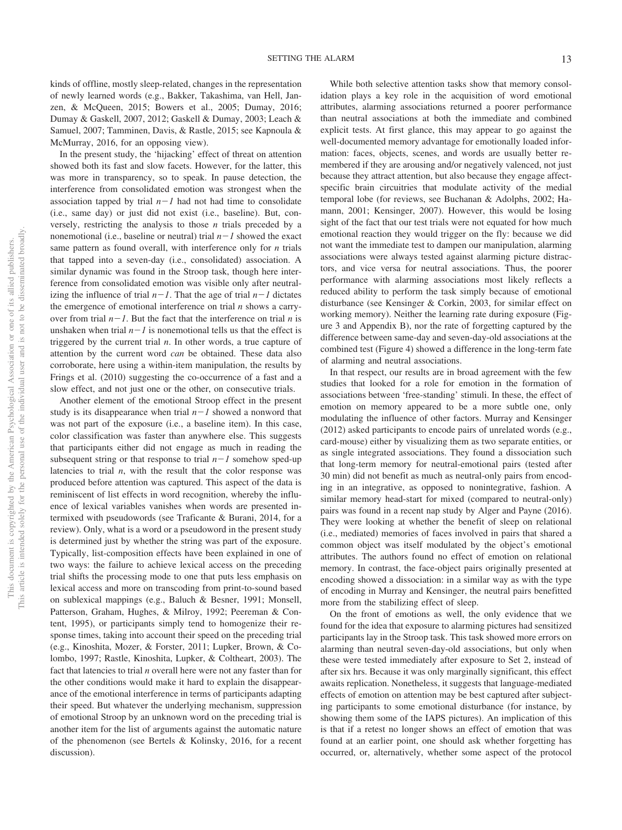kinds of offline, mostly sleep-related, changes in the representation of newly learned words (e.g., Bakker, Takashima, van Hell, Janzen, & McQueen, 2015; Bowers et al., 2005; Dumay, 2016; Dumay & Gaskell, 2007, 2012; Gaskell & Dumay, 2003; Leach & Samuel, 2007; Tamminen, Davis, & Rastle, 2015; see Kapnoula & McMurray, 2016, for an opposing view).

In the present study, the 'hijacking' effect of threat on attention showed both its fast and slow facets. However, for the latter, this was more in transparency, so to speak. In pause detection, the interference from consolidated emotion was strongest when the association tapped by trial  $n-1$  had not had time to consolidate (i.e., same day) or just did not exist (i.e., baseline). But, conversely, restricting the analysis to those *n* trials preceded by a nonemotional (i.e., baseline or neutral) trial  $n-1$  showed the exact same pattern as found overall, with interference only for *n* trials that tapped into a seven-day (i.e., consolidated) association. A similar dynamic was found in the Stroop task, though here interference from consolidated emotion was visible only after neutralizing the influence of trial  $n-1$ . That the age of trial  $n-1$  dictates the emergence of emotional interference on trial *n* shows a carryover from trial  $n-1$ . But the fact that the interference on trial *n* is unshaken when trial  $n-1$  is nonemotional tells us that the effect is triggered by the current trial *n*. In other words, a true capture of attention by the current word *can* be obtained. These data also corroborate, here using a within-item manipulation, the results by Frings et al. (2010) suggesting the co-occurrence of a fast and a slow effect, and not just one or the other, on consecutive trials.

Another element of the emotional Stroop effect in the present study is its disappearance when trial  $n-1$  showed a nonword that was not part of the exposure (i.e., a baseline item). In this case, color classification was faster than anywhere else. This suggests that participants either did not engage as much in reading the subsequent string or that response to trial  $n-1$  somehow sped-up latencies to trial  $n$ , with the result that the color response was produced before attention was captured. This aspect of the data is reminiscent of list effects in word recognition, whereby the influence of lexical variables vanishes when words are presented intermixed with pseudowords (see Traficante & Burani, 2014, for a review). Only, what is a word or a pseudoword in the present study is determined just by whether the string was part of the exposure. Typically, list-composition effects have been explained in one of two ways: the failure to achieve lexical access on the preceding trial shifts the processing mode to one that puts less emphasis on lexical access and more on transcoding from print-to-sound based on sublexical mappings (e.g., Baluch & Besner, 1991; Monsell, Patterson, Graham, Hughes, & Milroy, 1992; [Peereman & Con](#page-16-1)[tent, 1995\)](#page-16-1), or participants simply tend to homogenize their response times, taking into account their speed on the preceding trial (e.g., Kinoshita, Mozer, & Forster, 2011; Lupker, Brown, & Colombo, 1997; Rastle, Kinoshita, Lupker, & Coltheart, 2003). The fact that latencies to trial *n* overall here were not any faster than for the other conditions would make it hard to explain the disappearance of the emotional interference in terms of participants adapting their speed. But whatever the underlying mechanism, suppression of emotional Stroop by an unknown word on the preceding trial is another item for the list of arguments against the automatic nature of the phenomenon (see Bertels & Kolinsky, 2016, for a recent discussion).

While both selective attention tasks show that memory consolidation plays a key role in the acquisition of word emotional attributes, alarming associations returned a poorer performance than neutral associations at both the immediate and combined explicit tests. At first glance, this may appear to go against the well-documented memory advantage for emotionally loaded information: faces, objects, scenes, and words are usually better remembered if they are arousing and/or negatively valenced, not just because they attract attention, but also because they engage affectspecific brain circuitries that modulate activity of the medial temporal lobe (for reviews, see Buchanan & Adolphs, 2002; Hamann, 2001; Kensinger, 2007). However, this would be losing sight of the fact that our test trials were not equated for how much emotional reaction they would trigger on the fly: because we did not want the immediate test to dampen our manipulation, alarming associations were always tested against alarming picture distractors, and vice versa for neutral associations. Thus, the poorer performance with alarming associations most likely reflects a reduced ability to perform the task simply because of emotional disturbance (see Kensinger & Corkin, 2003, for similar effect on working memory). Neither the learning rate during exposure [\(Fig](#page-7-0)[ure 3](#page-7-0) and Appendix B), nor the rate of forgetting captured by the difference between same-day and seven-day-old associations at the combined test [\(Figure 4\)](#page-8-0) showed a difference in the long-term fate of alarming and neutral associations.

In that respect, our results are in broad agreement with the few studies that looked for a role for emotion in the formation of associations between 'free-standing' stimuli. In these, the effect of emotion on memory appeared to be a more subtle one, only modulating the influence of other factors. Murray and Kensinger (2012) asked participants to encode pairs of unrelated words (e.g., card-mouse) either by visualizing them as two separate entities, or as single integrated associations. They found a dissociation such that long-term memory for neutral-emotional pairs (tested after 30 min) did not benefit as much as neutral-only pairs from encoding in an integrative, as opposed to nonintegrative, fashion. A similar memory head-start for mixed (compared to neutral-only) pairs was found in a recent nap study by Alger and Payne (2016). They were looking at whether the benefit of sleep on relational (i.e., mediated) memories of faces involved in pairs that shared a common object was itself modulated by the object's emotional attributes. The authors found no effect of emotion on relational memory. In contrast, the face-object pairs originally presented at encoding showed a dissociation: in a similar way as with the type of encoding in Murray and Kensinger, the neutral pairs benefitted more from the stabilizing effect of sleep.

On the front of emotions as well, the only evidence that we found for the idea that exposure to alarming pictures had sensitized participants lay in the Stroop task. This task showed more errors on alarming than neutral seven-day-old associations, but only when these were tested immediately after exposure to Set 2, instead of after six hrs. Because it was only marginally significant, this effect awaits replication. Nonetheless, it suggests that language-mediated effects of emotion on attention may be best captured after subjecting participants to some emotional disturbance (for instance, by showing them some of the IAPS pictures). An implication of this is that if a retest no longer shows an effect of emotion that was found at an earlier point, one should ask whether forgetting has occurred, or, alternatively, whether some aspect of the protocol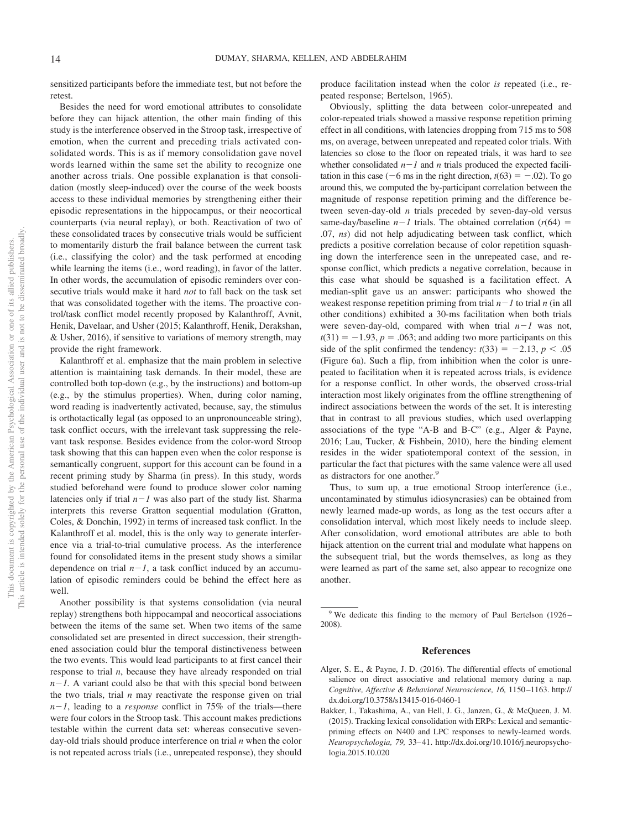sensitized participants before the immediate test, but not before the retest.

Besides the need for word emotional attributes to consolidate before they can hijack attention, the other main finding of this study is the interference observed in the Stroop task, irrespective of emotion, when the current and preceding trials activated consolidated words. This is as if memory consolidation gave novel words learned within the same set the ability to recognize one another across trials. One possible explanation is that consolidation (mostly sleep-induced) over the course of the week boosts access to these individual memories by strengthening either their episodic representations in the hippocampus, or their neocortical counterparts (via neural replay), or both. Reactivation of two of these consolidated traces by consecutive trials would be sufficient to momentarily disturb the frail balance between the current task (i.e., classifying the color) and the task performed at encoding while learning the items (i.e., word reading), in favor of the latter. In other words, the accumulation of episodic reminders over consecutive trials would make it hard *not* to fall back on the task set that was consolidated together with the items. The proactive control/task conflict model recently proposed by Kalanthroff, Avnit, Henik, Davelaar, and Usher (2015; Kalanthroff, Henik, Derakshan, & Usher, 2016), if sensitive to variations of memory strength, may provide the right framework.

Kalanthroff et al. emphasize that the main problem in selective attention is maintaining task demands. In their model, these are controlled both top-down (e.g., by the instructions) and bottom-up (e.g., by the stimulus properties). When, during color naming, word reading is inadvertently activated, because, say, the stimulus is orthotactically legal (as opposed to an unpronounceable string), task conflict occurs, with the irrelevant task suppressing the relevant task response. Besides evidence from the color-word Stroop task showing that this can happen even when the color response is semantically congruent, support for this account can be found in a recent priming study by Sharma (in press). In this study, words studied beforehand were found to produce slower color naming latencies only if trial  $n-1$  was also part of the study list. Sharma interprets this reverse Gratton sequential modulation (Gratton, Coles, & Donchin, 1992) in terms of increased task conflict. In the Kalanthroff et al. model, this is the only way to generate interference via a trial-to-trial cumulative process. As the interference found for consolidated items in the present study shows a similar dependence on trial  $n-1$ , a task conflict induced by an accumulation of episodic reminders could be behind the effect here as well.

Another possibility is that systems consolidation (via neural replay) strengthens both hippocampal and neocortical associations between the items of the same set. When two items of the same consolidated set are presented in direct succession, their strengthened association could blur the temporal distinctiveness between the two events. This would lead participants to at first cancel their response to trial *n*, because they have already responded on trial  $n-1$ . A variant could also be that with this special bond between the two trials, trial *n* may reactivate the response given on trial *n*-*1*, leading to a *response* conflict in 75% of the trials—there were four colors in the Stroop task. This account makes predictions testable within the current data set: whereas consecutive sevenday-old trials should produce interference on trial *n* when the color is not repeated across trials (i.e., unrepeated response), they should produce facilitation instead when the color *is* repeated (i.e., repeated response; Bertelson, 1965).

Obviously, splitting the data between color-unrepeated and color-repeated trials showed a massive response repetition priming effect in all conditions, with latencies dropping from 715 ms to 508 ms, on average, between unrepeated and repeated color trials. With latencies so close to the floor on repeated trials, it was hard to see whether consolidated  $n-1$  and  $n$  trials produced the expected facilitation in this case  $(-6 \text{ ms in the right direction}, t(63) = -.02)$ . To go around this, we computed the by-participant correlation between the magnitude of response repetition priming and the difference between seven-day-old *n* trials preceded by seven-day-old versus same-day/baseline  $n-1$  trials. The obtained correlation ( $r(64)$ ) = .07, *ns*) did not help adjudicating between task conflict, which predicts a positive correlation because of color repetition squashing down the interference seen in the unrepeated case, and response conflict, which predicts a negative correlation, because in this case what should be squashed is a facilitation effect. A median-split gave us an answer: participants who showed the weakest response repetition priming from trial  $n-1$  to trial *n* (in all other conditions) exhibited a 30-ms facilitation when both trials were seven-day-old, compared with when trial  $n-1$  was not,  $t(31) = -1.93$ ,  $p = .063$ ; and adding two more participants on this side of the split confirmed the tendency:  $t(33) = -2.13$ ,  $p < .05$ [\(Figure 6a\)](#page-11-0). Such a flip, from inhibition when the color is unrepeated to facilitation when it is repeated across trials, is evidence for a response conflict. In other words, the observed cross-trial interaction most likely originates from the offline strengthening of indirect associations between the words of the set. It is interesting that in contrast to all previous studies, which used overlapping associations of the type "A-B and B-C" (e.g., Alger & Payne, 2016; Lau, Tucker, & Fishbein, 2010), here the binding element resides in the wider spatiotemporal context of the session, in particular the fact that pictures with the same valence were all used as distractors for one another.<sup>9</sup>

Thus, to sum up, a true emotional Stroop interference (i.e., uncontaminated by stimulus idiosyncrasies) can be obtained from newly learned made-up words, as long as the test occurs after a consolidation interval, which most likely needs to include sleep. After consolidation, word emotional attributes are able to both hijack attention on the current trial and modulate what happens on the subsequent trial, but the words themselves, as long as they were learned as part of the same set, also appear to recognize one another.

#### **References**

- Alger, S. E., & Payne, J. D. (2016). The differential effects of emotional salience on direct associative and relational memory during a nap. *Cognitive, Affective & Behavioral Neuroscience, 16,* 1150 –1163. [http://](http://dx.doi.org/10.3758/s13415-016-0460-1) [dx.doi.org/10.3758/s13415-016-0460-1](http://dx.doi.org/10.3758/s13415-016-0460-1)
- Bakker, I., Takashima, A., van Hell, J. G., Janzen, G., & McQueen, J. M. (2015). Tracking lexical consolidation with ERPs: Lexical and semanticpriming effects on N400 and LPC responses to newly-learned words. *Neuropsychologia, 79,* 33– 41. [http://dx.doi.org/10.1016/j.neuropsycho](http://dx.doi.org/10.1016/j.neuropsychologia.2015.10.020)[logia.2015.10.020](http://dx.doi.org/10.1016/j.neuropsychologia.2015.10.020)

 $9$  We dedicate this finding to the memory of Paul Bertelson (1926– 2008).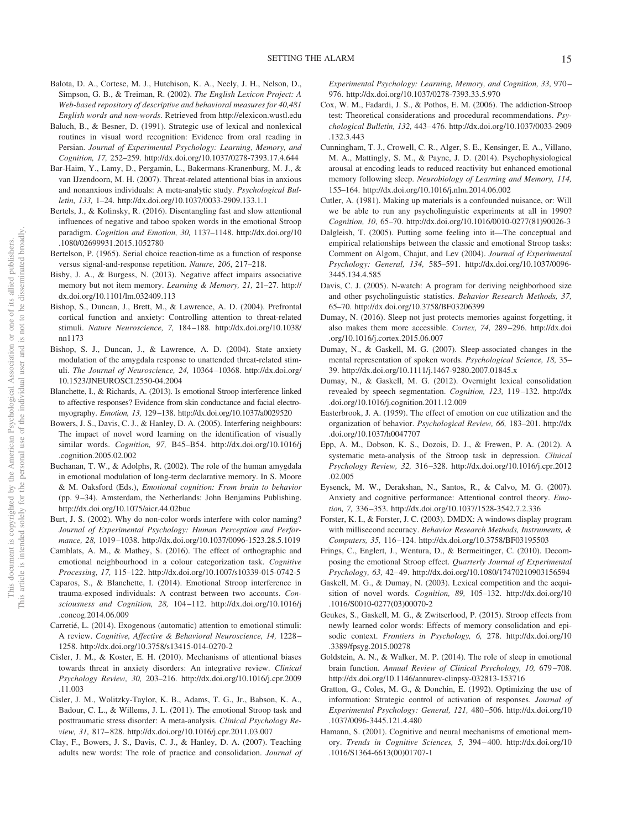- Balota, D. A., Cortese, M. J., Hutchison, K. A., Neely, J. H., Nelson, D., Simpson, G. B., & Treiman, R. (2002). *The English Lexicon Project: A Web-based repository of descriptive and behavioral measures for 40,481 English words and non-words*. Retrieved from<http://elexicon.wustl.edu>
- Baluch, B., & Besner, D. (1991). Strategic use of lexical and nonlexical routines in visual word recognition: Evidence from oral reading in Persian. *Journal of Experimental Psychology: Learning, Memory, and Cognition, 17,* 252–259.<http://dx.doi.org/10.1037/0278-7393.17.4.644>
- Bar-Haim, Y., Lamy, D., Pergamin, L., Bakermans-Kranenburg, M. J., & van IJzendoorn, M. H. (2007). Threat-related attentional bias in anxious and nonanxious individuals: A meta-analytic study. *Psychological Bulletin, 133,* 1–24.<http://dx.doi.org/10.1037/0033-2909.133.1.1>
- Bertels, J., & Kolinsky, R. (2016). Disentangling fast and slow attentional influences of negative and taboo spoken words in the emotional Stroop paradigm. *Cognition and Emotion, 30,* 1137–1148. [http://dx.doi.org/10](http://dx.doi.org/10.1080/02699931.2015.1052780) [.1080/02699931.2015.1052780](http://dx.doi.org/10.1080/02699931.2015.1052780)
- Bertelson, P. (1965). Serial choice reaction-time as a function of response versus signal-and-response repetition. *Nature, 206*, 217–218.
- Bisby, J. A., & Burgess, N. (2013). Negative affect impairs associative memory but not item memory. *Learning & Memory, 21,* 21–27. [http://](http://dx.doi.org/10.1101/lm.032409.113) [dx.doi.org/10.1101/lm.032409.113](http://dx.doi.org/10.1101/lm.032409.113)
- Bishop, S., Duncan, J., Brett, M., & Lawrence, A. D. (2004). Prefrontal cortical function and anxiety: Controlling attention to threat-related stimuli. *Nature Neuroscience, 7,* 184 –188. [http://dx.doi.org/10.1038/](http://dx.doi.org/10.1038/nn1173) [nn1173](http://dx.doi.org/10.1038/nn1173)
- Bishop, S. J., Duncan, J., & Lawrence, A. D. (2004). State anxiety modulation of the amygdala response to unattended threat-related stimuli. *The Journal of Neuroscience, 24,* 10364 –10368. [http://dx.doi.org/](http://dx.doi.org/10.1523/JNEUROSCI.2550-04.2004) [10.1523/JNEUROSCI.2550-04.2004](http://dx.doi.org/10.1523/JNEUROSCI.2550-04.2004)
- Blanchette, I., & Richards, A. (2013). Is emotional Stroop interference linked to affective responses? Evidence from skin conductance and facial electromyography. *Emotion, 13,* 129 –138.<http://dx.doi.org/10.1037/a0029520>
- Bowers, J. S., Davis, C. J., & Hanley, D. A. (2005). Interfering neighbours: The impact of novel word learning on the identification of visually similar words. *Cognition, 97,* B45–B54. [http://dx.doi.org/10.1016/j](http://dx.doi.org/10.1016/j.cognition.2005.02.002) [.cognition.2005.02.002](http://dx.doi.org/10.1016/j.cognition.2005.02.002)
- Buchanan, T. W., & Adolphs, R. (2002). The role of the human amygdala in emotional modulation of long-term declarative memory. In S. Moore & M. Oaksford (Eds.), *Emotional cognition: From brain to behavior* (pp. 9 –34). Amsterdam, the Netherlands: John Benjamins Publishing. <http://dx.doi.org/10.1075/aicr.44.02buc>
- Burt, J. S. (2002). Why do non-color words interfere with color naming? *Journal of Experimental Psychology: Human Perception and Performance, 28,* 1019 –1038.<http://dx.doi.org/10.1037/0096-1523.28.5.1019>
- Camblats, A. M., & Mathey, S. (2016). The effect of orthographic and emotional neighbourhood in a colour categorization task. *Cognitive Processing, 17,* 115–122.<http://dx.doi.org/10.1007/s10339-015-0742-5>
- Caparos, S., & Blanchette, I. (2014). Emotional Stroop interference in trauma-exposed individuals: A contrast between two accounts. *Consciousness and Cognition, 28,* 104 –112. [http://dx.doi.org/10.1016/j](http://dx.doi.org/10.1016/j.concog.2014.06.009) [.concog.2014.06.009](http://dx.doi.org/10.1016/j.concog.2014.06.009)
- Carretié, L. (2014). Exogenous (automatic) attention to emotional stimuli: A review. *Cognitive, Affective & Behavioral Neuroscience, 14,* 1228 – 1258.<http://dx.doi.org/10.3758/s13415-014-0270-2>
- Cisler, J. M., & Koster, E. H. (2010). Mechanisms of attentional biases towards threat in anxiety disorders: An integrative review. *Clinical Psychology Review, 30,* 203–216. [http://dx.doi.org/10.1016/j.cpr.2009](http://dx.doi.org/10.1016/j.cpr.2009.11.003) [.11.003](http://dx.doi.org/10.1016/j.cpr.2009.11.003)
- Cisler, J. M., Wolitzky-Taylor, K. B., Adams, T. G., Jr., Babson, K. A., Badour, C. L., & Willems, J. L. (2011). The emotional Stroop task and posttraumatic stress disorder: A meta-analysis. *Clinical Psychology Review, 31,* 817– 828.<http://dx.doi.org/10.1016/j.cpr.2011.03.007>
- Clay, F., Bowers, J. S., Davis, C. J., & Hanley, D. A. (2007). Teaching adults new words: The role of practice and consolidation. *Journal of*

*Experimental Psychology: Learning, Memory, and Cognition, 33,* 970 – 976.<http://dx.doi.org/10.1037/0278-7393.33.5.970>

- Cox, W. M., Fadardi, J. S., & Pothos, E. M. (2006). The addiction-Stroop test: Theoretical considerations and procedural recommendations. *Psychological Bulletin, 132,* 443– 476. [http://dx.doi.org/10.1037/0033-2909](http://dx.doi.org/10.1037/0033-2909.132.3.443) [.132.3.443](http://dx.doi.org/10.1037/0033-2909.132.3.443)
- Cunningham, T. J., Crowell, C. R., Alger, S. E., Kensinger, E. A., Villano, M. A., Mattingly, S. M., & Payne, J. D. (2014). Psychophysiological arousal at encoding leads to reduced reactivity but enhanced emotional memory following sleep. *Neurobiology of Learning and Memory, 114,* 155–164.<http://dx.doi.org/10.1016/j.nlm.2014.06.002>
- Cutler, A. (1981). Making up materials is a confounded nuisance, or: Will we be able to run any psycholinguistic experiments at all in 1990? *Cognition, 10,* 65–70. [http://dx.doi.org/10.1016/0010-0277\(81\)90026-3](http://dx.doi.org/10.1016/0010-0277%2881%2990026-3)
- Dalgleish, T. (2005). Putting some feeling into it—The conceptual and empirical relationships between the classic and emotional Stroop tasks: Comment on Algom, Chajut, and Lev (2004). *Journal of Experimental Psychology: General, 134,* 585–591. [http://dx.doi.org/10.1037/0096-](http://dx.doi.org/10.1037/0096-3445.134.4.585) [3445.134.4.585](http://dx.doi.org/10.1037/0096-3445.134.4.585)
- Davis, C. J. (2005). N-watch: A program for deriving neighborhood size and other psycholinguistic statistics. *Behavior Research Methods, 37,* 65–70.<http://dx.doi.org/10.3758/BF03206399>
- Dumay, N. (2016). Sleep not just protects memories against forgetting, it also makes them more accessible. *Cortex, 74,* 289 –296. [http://dx.doi](http://dx.doi.org/10.1016/j.cortex.2015.06.007) [.org/10.1016/j.cortex.2015.06.007](http://dx.doi.org/10.1016/j.cortex.2015.06.007)
- Dumay, N., & Gaskell, M. G. (2007). Sleep-associated changes in the mental representation of spoken words. *Psychological Science, 18,* 35– 39.<http://dx.doi.org/10.1111/j.1467-9280.2007.01845.x>
- Dumay, N., & Gaskell, M. G. (2012). Overnight lexical consolidation revealed by speech segmentation. *Cognition, 123,* 119 –132. [http://dx](http://dx.doi.org/10.1016/j.cognition.2011.12.009) [.doi.org/10.1016/j.cognition.2011.12.009](http://dx.doi.org/10.1016/j.cognition.2011.12.009)
- Easterbrook, J. A. (1959). The effect of emotion on cue utilization and the organization of behavior. *Psychological Review, 66,* 183–201. [http://dx](http://dx.doi.org/10.1037/h0047707) [.doi.org/10.1037/h0047707](http://dx.doi.org/10.1037/h0047707)
- Epp, A. M., Dobson, K. S., Dozois, D. J., & Frewen, P. A. (2012). A systematic meta-analysis of the Stroop task in depression. *Clinical Psychology Review, 32,* 316 –328. [http://dx.doi.org/10.1016/j.cpr.2012](http://dx.doi.org/10.1016/j.cpr.2012.02.005) [.02.005](http://dx.doi.org/10.1016/j.cpr.2012.02.005)
- Eysenck, M. W., Derakshan, N., Santos, R., & Calvo, M. G. (2007). Anxiety and cognitive performance: Attentional control theory. *Emotion, 7,* 336 –353.<http://dx.doi.org/10.1037/1528-3542.7.2.336>
- Forster, K. I., & Forster, J. C. (2003). DMDX: A windows display program with millisecond accuracy. *Behavior Research Methods, Instruments, & Computers, 35,* 116 –124.<http://dx.doi.org/10.3758/BF03195503>
- Frings, C., Englert, J., Wentura, D., & Bermeitinger, C. (2010). Decomposing the emotional Stroop effect. *Quarterly Journal of Experimental Psychology, 63,* 42– 49.<http://dx.doi.org/10.1080/17470210903156594>
- Gaskell, M. G., & Dumay, N. (2003). Lexical competition and the acquisition of novel words. *Cognition, 89,* 105–132. [http://dx.doi.org/10](http://dx.doi.org/10.1016/S0010-0277%2803%2900070-2) [.1016/S0010-0277\(03\)00070-2](http://dx.doi.org/10.1016/S0010-0277%2803%2900070-2)
- Geukes, S., Gaskell, M. G., & Zwitserlood, P. (2015). Stroop effects from newly learned color words: Effects of memory consolidation and episodic context. *Frontiers in Psychology, 6,* 278. [http://dx.doi.org/10](http://dx.doi.org/10.3389/fpsyg.2015.00278) [.3389/fpsyg.2015.00278](http://dx.doi.org/10.3389/fpsyg.2015.00278)
- Goldstein, A. N., & Walker, M. P. (2014). The role of sleep in emotional brain function. *Annual Review of Clinical Psychology, 10,* 679 –708. <http://dx.doi.org/10.1146/annurev-clinpsy-032813-153716>
- Gratton, G., Coles, M. G., & Donchin, E. (1992). Optimizing the use of information: Strategic control of activation of responses. *Journal of Experimental Psychology: General, 121,* 480 –506. [http://dx.doi.org/10](http://dx.doi.org/10.1037/0096-3445.121.4.480) [.1037/0096-3445.121.4.480](http://dx.doi.org/10.1037/0096-3445.121.4.480)
- Hamann, S. (2001). Cognitive and neural mechanisms of emotional memory. *Trends in Cognitive Sciences, 5,* 394 – 400. [http://dx.doi.org/10](http://dx.doi.org/10.1016/S1364-6613%2800%2901707-1) [.1016/S1364-6613\(00\)01707-1](http://dx.doi.org/10.1016/S1364-6613%2800%2901707-1)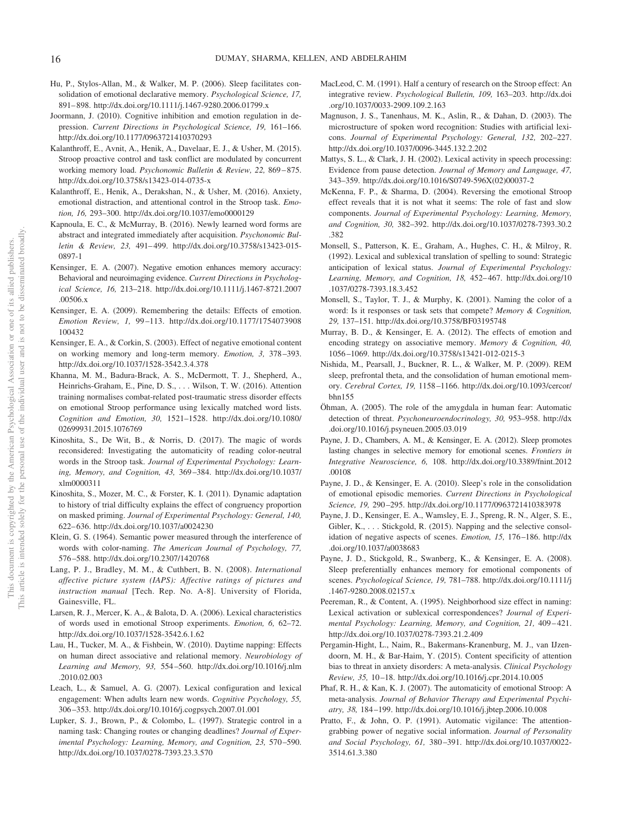- Hu, P., Stylos-Allan, M., & Walker, M. P. (2006). Sleep facilitates consolidation of emotional declarative memory. *Psychological Science, 17,* 891– 898.<http://dx.doi.org/10.1111/j.1467-9280.2006.01799.x>
- Joormann, J. (2010). Cognitive inhibition and emotion regulation in depression. *Current Directions in Psychological Science, 19,* 161–166. <http://dx.doi.org/10.1177/0963721410370293>
- Kalanthroff, E., Avnit, A., Henik, A., Davelaar, E. J., & Usher, M. (2015). Stroop proactive control and task conflict are modulated by concurrent working memory load. *Psychonomic Bulletin & Review, 22,* 869 – 875. <http://dx.doi.org/10.3758/s13423-014-0735-x>
- Kalanthroff, E., Henik, A., Derakshan, N., & Usher, M. (2016). Anxiety, emotional distraction, and attentional control in the Stroop task. *Emotion, 16,* 293–300.<http://dx.doi.org/10.1037/emo0000129>
- Kapnoula, E. C., & McMurray, B. (2016). Newly learned word forms are abstract and integrated immediately after acquisition. *Psychonomic Bulletin & Review, 23,* 491– 499. [http://dx.doi.org/10.3758/s13423-015-](http://dx.doi.org/10.3758/s13423-015-0897-1) [0897-1](http://dx.doi.org/10.3758/s13423-015-0897-1)
- Kensinger, E. A. (2007). Negative emotion enhances memory accuracy: Behavioral and neuroimaging evidence. *Current Directions in Psychological Science, 16,* 213–218. [http://dx.doi.org/10.1111/j.1467-8721.2007](http://dx.doi.org/10.1111/j.1467-8721.2007.00506.x) [.00506.x](http://dx.doi.org/10.1111/j.1467-8721.2007.00506.x)
- Kensinger, E. A. (2009). Remembering the details: Effects of emotion. *Emotion Review, 1,* 99 –113. [http://dx.doi.org/10.1177/1754073908](http://dx.doi.org/10.1177/1754073908100432) [100432](http://dx.doi.org/10.1177/1754073908100432)
- Kensinger, E. A., & Corkin, S. (2003). Effect of negative emotional content on working memory and long-term memory. *Emotion, 3,* 378 –393. <http://dx.doi.org/10.1037/1528-3542.3.4.378>
- Khanna, M. M., Badura-Brack, A. S., McDermott, T. J., Shepherd, A., Heinrichs-Graham, E., Pine, D. S.,... Wilson, T. W. (2016). Attention training normalises combat-related post-traumatic stress disorder effects on emotional Stroop performance using lexically matched word lists. *Cognition and Emotion, 30,* 1521–1528. [http://dx.doi.org/10.1080/](http://dx.doi.org/10.1080/02699931.2015.1076769) [02699931.2015.1076769](http://dx.doi.org/10.1080/02699931.2015.1076769)
- Kinoshita, S., De Wit, B., & Norris, D. (2017). The magic of words reconsidered: Investigating the automaticity of reading color-neutral words in the Stroop task. *Journal of Experimental Psychology: Learning, Memory, and Cognition, 43,* 369 –384. [http://dx.doi.org/10.1037/](http://dx.doi.org/10.1037/xlm0000311) [xlm0000311](http://dx.doi.org/10.1037/xlm0000311)
- Kinoshita, S., Mozer, M. C., & Forster, K. I. (2011). Dynamic adaptation to history of trial difficulty explains the effect of congruency proportion on masked priming. *Journal of Experimental Psychology: General, 140,* 622– 636.<http://dx.doi.org/10.1037/a0024230>
- Klein, G. S. (1964). Semantic power measured through the interference of words with color-naming. *The American Journal of Psychology, 77,* 576 –588.<http://dx.doi.org/10.2307/1420768>
- Lang, P. J., Bradley, M. M., & Cuthbert, B. N. (2008). *International affective picture system (IAPS): Affective ratings of pictures and instruction manual* [Tech. Rep. No. A-8]. University of Florida, Gainesville, FL.
- Larsen, R. J., Mercer, K. A., & Balota, D. A. (2006). Lexical characteristics of words used in emotional Stroop experiments. *Emotion, 6,* 62–72. <http://dx.doi.org/10.1037/1528-3542.6.1.62>
- Lau, H., Tucker, M. A., & Fishbein, W. (2010). Daytime napping: Effects on human direct associative and relational memory. *Neurobiology of Learning and Memory, 93,* 554 –560. [http://dx.doi.org/10.1016/j.nlm](http://dx.doi.org/10.1016/j.nlm.2010.02.003) [.2010.02.003](http://dx.doi.org/10.1016/j.nlm.2010.02.003)
- Leach, L., & Samuel, A. G. (2007). Lexical configuration and lexical engagement: When adults learn new words. *Cognitive Psychology, 55,* 306 –353.<http://dx.doi.org/10.1016/j.cogpsych.2007.01.001>
- Lupker, S. J., Brown, P., & Colombo, L. (1997). Strategic control in a naming task: Changing routes or changing deadlines? *Journal of Experimental Psychology: Learning, Memory, and Cognition, 23,* 570 –590. <http://dx.doi.org/10.1037/0278-7393.23.3.570>
- MacLeod, C. M. (1991). Half a century of research on the Stroop effect: An integrative review. *Psychological Bulletin, 109,* 163–203. [http://dx.doi](http://dx.doi.org/10.1037/0033-2909.109.2.163) [.org/10.1037/0033-2909.109.2.163](http://dx.doi.org/10.1037/0033-2909.109.2.163)
- Magnuson, J. S., Tanenhaus, M. K., Aslin, R., & Dahan, D. (2003). The microstructure of spoken word recognition: Studies with artificial lexicons. *Journal of Experimental Psychology: General, 132,* 202–227. <http://dx.doi.org/10.1037/0096-3445.132.2.202>
- Mattys, S. L., & Clark, J. H. (2002). Lexical activity in speech processing: Evidence from pause detection. *Journal of Memory and Language, 47,* 343–359. [http://dx.doi.org/10.1016/S0749-596X\(02\)00037-2](http://dx.doi.org/10.1016/S0749-596X%2802%2900037-2)
- McKenna, F. P., & Sharma, D. (2004). Reversing the emotional Stroop effect reveals that it is not what it seems: The role of fast and slow components. *Journal of Experimental Psychology: Learning, Memory, and Cognition, 30,* 382–392. [http://dx.doi.org/10.1037/0278-7393.30.2](http://dx.doi.org/10.1037/0278-7393.30.2.382) [.382](http://dx.doi.org/10.1037/0278-7393.30.2.382)
- Monsell, S., Patterson, K. E., Graham, A., Hughes, C. H., & Milroy, R. (1992). Lexical and sublexical translation of spelling to sound: Strategic anticipation of lexical status. *Journal of Experimental Psychology: Learning, Memory, and Cognition, 18,* 452– 467. [http://dx.doi.org/10](http://dx.doi.org/10.1037/0278-7393.18.3.452) [.1037/0278-7393.18.3.452](http://dx.doi.org/10.1037/0278-7393.18.3.452)
- Monsell, S., Taylor, T. J., & Murphy, K. (2001). Naming the color of a word: Is it responses or task sets that compete? *Memory & Cognition, 29,* 137–151.<http://dx.doi.org/10.3758/BF03195748>
- Murray, B. D., & Kensinger, E. A. (2012). The effects of emotion and encoding strategy on associative memory. *Memory & Cognition, 40,* 1056 –1069.<http://dx.doi.org/10.3758/s13421-012-0215-3>
- Nishida, M., Pearsall, J., Buckner, R. L., & Walker, M. P. (2009). REM sleep, prefrontal theta, and the consolidation of human emotional memory. *Cerebral Cortex, 19,* 1158 –1166. [http://dx.doi.org/10.1093/cercor/](http://dx.doi.org/10.1093/cercor/bhn155) [bhn155](http://dx.doi.org/10.1093/cercor/bhn155)
- Öhman, A. (2005). The role of the amygdala in human fear: Automatic detection of threat. *Psychoneuroendocrinology, 30,* 953–958. [http://dx](http://dx.doi.org/10.1016/j.psyneuen.2005.03.019) [.doi.org/10.1016/j.psyneuen.2005.03.019](http://dx.doi.org/10.1016/j.psyneuen.2005.03.019)
- Payne, J. D., Chambers, A. M., & Kensinger, E. A. (2012). Sleep promotes lasting changes in selective memory for emotional scenes. *Frontiers in Integrative Neuroscience, 6,* 108. [http://dx.doi.org/10.3389/fnint.2012](http://dx.doi.org/10.3389/fnint.2012.00108) [.00108](http://dx.doi.org/10.3389/fnint.2012.00108)
- Payne, J. D., & Kensinger, E. A. (2010). Sleep's role in the consolidation of emotional episodic memories. *Current Directions in Psychological Science, 19,* 290 –295.<http://dx.doi.org/10.1177/0963721410383978>
- Payne, J. D., Kensinger, E. A., Wamsley, E. J., Spreng, R. N., Alger, S. E., Gibler, K., ... Stickgold, R. (2015). Napping and the selective consolidation of negative aspects of scenes. *Emotion, 15,* 176 –186. [http://dx](http://dx.doi.org/10.1037/a0038683) [.doi.org/10.1037/a0038683](http://dx.doi.org/10.1037/a0038683)
- Payne, J. D., Stickgold, R., Swanberg, K., & Kensinger, E. A. (2008). Sleep preferentially enhances memory for emotional components of scenes. *Psychological Science, 19,* 781–788. [http://dx.doi.org/10.1111/j](http://dx.doi.org/10.1111/j.1467-9280.2008.02157.x) [.1467-9280.2008.02157.x](http://dx.doi.org/10.1111/j.1467-9280.2008.02157.x)
- <span id="page-16-1"></span>Peereman, R., & Content, A. (1995). Neighborhood size effect in naming: Lexical activation or sublexical correspondences? *Journal of Experimental Psychology: Learning, Memory, and Cognition, 21,* 409 – 421. <http://dx.doi.org/10.1037/0278-7393.21.2.409>
- <span id="page-16-0"></span>Pergamin-Hight, L., Naim, R., Bakermans-Kranenburg, M. J., van IJzendoorn, M. H., & Bar-Haim, Y. (2015). Content specificity of attention bias to threat in anxiety disorders: A meta-analysis. *Clinical Psychology Review, 35,* 10 –18.<http://dx.doi.org/10.1016/j.cpr.2014.10.005>
- Phaf, R. H., & Kan, K. J. (2007). The automaticity of emotional Stroop: A meta-analysis. *Journal of Behavior Therapy and Experimental Psychiatry, 38,* 184 –199.<http://dx.doi.org/10.1016/j.jbtep.2006.10.008>
- Pratto, F., & John, O. P. (1991). Automatic vigilance: The attentiongrabbing power of negative social information. *Journal of Personality and Social Psychology, 61,* 380 –391. [http://dx.doi.org/10.1037/0022-](http://dx.doi.org/10.1037/0022-3514.61.3.380) [3514.61.3.380](http://dx.doi.org/10.1037/0022-3514.61.3.380)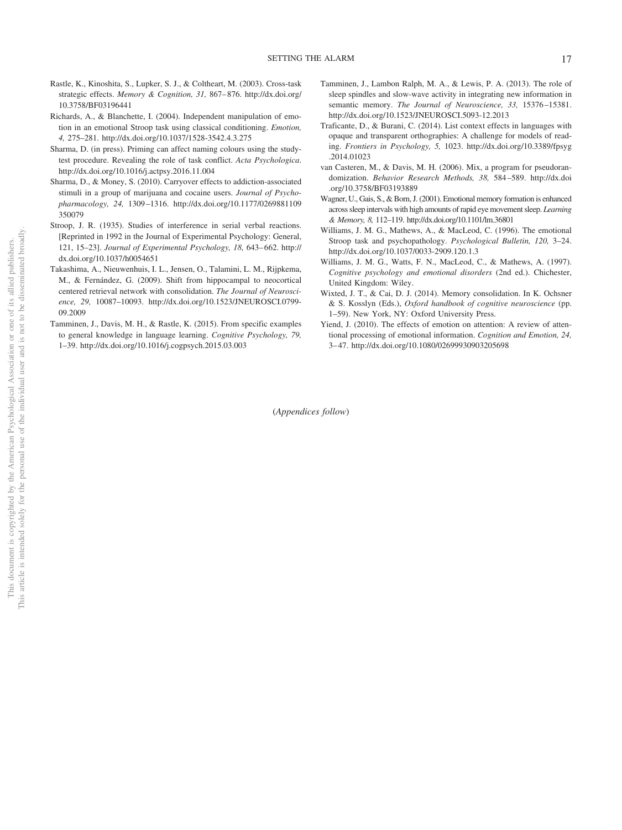- Rastle, K., Kinoshita, S., Lupker, S. J., & Coltheart, M. (2003). Cross-task strategic effects. *Memory & Cognition, 31, 867–876.* [http://dx.doi.org/](http://dx.doi.org/10.3758/BF03196441) [10.3758/BF03196441](http://dx.doi.org/10.3758/BF03196441)
- Richards, A., & Blanchette, I. (2004). Independent manipulation of emotion in an emotional Stroop task using classical conditioning. *Emotion, 4,* 275–281.<http://dx.doi.org/10.1037/1528-3542.4.3.275>
- Sharma, D. (in press). Priming can affect naming colours using the studytest procedure. Revealing the role of task conflict. *Acta Psychologica*. <http://dx.doi.org/10.1016/j.actpsy.2016.11.004>
- Sharma, D., & Money, S. (2010). Carryover effects to addiction-associated stimuli in a group of marijuana and cocaine users. *Journal of Psychopharmacology, 24,* 1309 –1316. [http://dx.doi.org/10.1177/0269881109](http://dx.doi.org/10.1177/0269881109350079) [350079](http://dx.doi.org/10.1177/0269881109350079)
- Stroop, J. R. (1935). Studies of interference in serial verbal reactions. [Reprinted in 1992 in the Journal of Experimental Psychology: General, 121, 15–23]. *Journal of Experimental Psychology, 18,* 643– 662. [http://](http://dx.doi.org/10.1037/h0054651) [dx.doi.org/10.1037/h0054651](http://dx.doi.org/10.1037/h0054651)
- Takashima, A., Nieuwenhuis, I. L., Jensen, O., Talamini, L. M., Rijpkema, M., & Fernández, G. (2009). Shift from hippocampal to neocortical centered retrieval network with consolidation. *The Journal of Neuroscience, 29,* 10087–10093. [http://dx.doi.org/10.1523/JNEUROSCI.0799-](http://dx.doi.org/10.1523/JNEUROSCI.0799-09.2009) [09.2009](http://dx.doi.org/10.1523/JNEUROSCI.0799-09.2009)
- Tamminen, J., Davis, M. H., & Rastle, K. (2015). From specific examples to general knowledge in language learning. *Cognitive Psychology, 79,* 1–39.<http://dx.doi.org/10.1016/j.cogpsych.2015.03.003>
- Tamminen, J., Lambon Ralph, M. A., & Lewis, P. A. (2013). The role of sleep spindles and slow-wave activity in integrating new information in semantic memory. *The Journal of Neuroscience, 33,* 15376 –15381. <http://dx.doi.org/10.1523/JNEUROSCI.5093-12.2013>
- Traficante, D., & Burani, C. (2014). List context effects in languages with opaque and transparent orthographies: A challenge for models of reading. *Frontiers in Psychology, 5,* 1023. [http://dx.doi.org/10.3389/fpsyg](http://dx.doi.org/10.3389/fpsyg.2014.01023) [.2014.01023](http://dx.doi.org/10.3389/fpsyg.2014.01023)
- van Casteren, M., & Davis, M. H. (2006). Mix, a program for pseudorandomization. *Behavior Research Methods, 38,* 584 –589. [http://dx.doi](http://dx.doi.org/10.3758/BF03193889) [.org/10.3758/BF03193889](http://dx.doi.org/10.3758/BF03193889)
- Wagner, U., Gais, S., & Born, J. (2001). Emotional memory formation is enhanced across sleep intervals with high amounts of rapid eye movement sleep. *Learning & Memory, 8,* 112–119.<http://dx.doi.org/10.1101/lm.36801>
- Williams, J. M. G., Mathews, A., & MacLeod, C. (1996). The emotional Stroop task and psychopathology. *Psychological Bulletin, 120,* 3–24. <http://dx.doi.org/10.1037/0033-2909.120.1.3>
- Williams, J. M. G., Watts, F. N., MacLeod, C., & Mathews, A. (1997). *Cognitive psychology and emotional disorders* (2nd ed.). Chichester, United Kingdom: Wiley.
- Wixted, J. T., & Cai, D. J. (2014). Memory consolidation. In K. Ochsner & S. Kosslyn (Eds.), *Oxford handbook of cognitive neuroscience* (pp. 1–59). New York, NY: Oxford University Press.
- Yiend, J. (2010). The effects of emotion on attention: A review of attentional processing of emotional information. *Cognition and Emotion, 24,* 3– 47.<http://dx.doi.org/10.1080/02699930903205698>

(*Appendices follow*)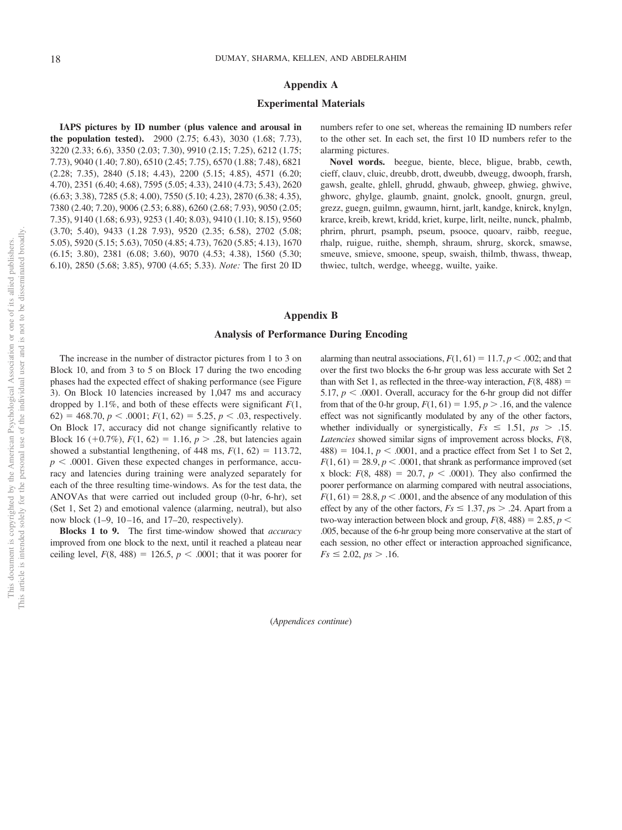### **Appendix A**

#### **Experimental Materials**

**IAPS pictures by ID number (plus valence and arousal in the population tested).** 2900 (2.75; 6.43), 3030 (1.68; 7.73), 3220 (2.33; 6.6), 3350 (2.03; 7.30), 9910 (2.15; 7.25), 6212 (1.75; 7.73), 9040 (1.40; 7.80), 6510 (2.45; 7.75), 6570 (1.88; 7.48), 6821 (2.28; 7.35), 2840 (5.18; 4.43), 2200 (5.15; 4.85), 4571 (6.20; 4.70), 2351 (6.40; 4.68), 7595 (5.05; 4.33), 2410 (4.73; 5.43), 2620 (6.63; 3.38), 7285 (5.8; 4.00), 7550 (5.10; 4.23), 2870 (6.38; 4.35), 7380 (2.40; 7.20), 9006 (2.53; 6.88), 6260 (2.68; 7.93), 9050 (2.05; 7.35), 9140 (1.68; 6.93), 9253 (1.40; 8.03), 9410 (1.10; 8.15), 9560 (3.70; 5.40), 9433 (1.28 7.93), 9520 (2.35; 6.58), 2702 (5.08; 5.05), 5920 (5.15; 5.63), 7050 (4.85; 4.73), 7620 (5.85; 4.13), 1670 (6.15; 3.80), 2381 (6.08; 3.60), 9070 (4.53; 4.38), 1560 (5.30; 6.10), 2850 (5.68; 3.85), 9700 (4.65; 5.33). *Note:* The first 20 ID numbers refer to one set, whereas the remaining ID numbers refer to the other set. In each set, the first 10 ID numbers refer to the alarming pictures.

**Novel words.** beegue, biente, blece, bligue, brabb, cewth, cieff, clauv, cluic, dreubb, drott, dweubb, dweugg, dwooph, frarsh, gawsh, gealte, ghlell, ghrudd, ghwaub, ghweep, ghwieg, ghwive, ghworc, ghylge, glaumb, gnaint, gnolck, gnoolt, gnurgn, greul, grezz, guegn, guilmn, gwaumn, hirnt, jarlt, kandge, knirck, knylgn, krarce, kreib, krewt, kridd, kriet, kurpe, lirlt, neilte, nunck, phalmb, phrirn, phrurt, psamph, pseum, psooce, quoarv, raibb, reegue, rhalp, ruigue, ruithe, shemph, shraum, shrurg, skorck, smawse, smeuve, smieve, smoone, speup, swaish, thilmb, thwass, thweap, thwiec, tultch, werdge, wheegg, wuilte, yaike.

## **Appendix B**

### **Analysis of Performance During Encoding**

The increase in the number of distractor pictures from 1 to 3 on Block 10, and from 3 to 5 on Block 17 during the two encoding phases had the expected effect of shaking performance (see [Figure](#page-7-0) [3\)](#page-7-0). On Block 10 latencies increased by 1,047 ms and accuracy dropped by 1.1%, and both of these effects were significant *F*(1, 62) = 468.70,  $p < .0001$ ;  $F(1, 62) = 5.25$ ,  $p < .03$ , respectively. On Block 17, accuracy did not change significantly relative to Block 16 (+0.7%),  $F(1, 62) = 1.16$ ,  $p > .28$ , but latencies again showed a substantial lengthening, of 448 ms,  $F(1, 62) = 113.72$ ,  $p < .0001$ . Given these expected changes in performance, accuracy and latencies during training were analyzed separately for each of the three resulting time-windows. As for the test data, the ANOVAs that were carried out included group (0-hr, 6-hr), set (Set 1, Set 2) and emotional valence (alarming, neutral), but also now block  $(1-9, 10-16,$  and  $17-20$ , respectively).

**Blocks 1 to 9.** The first time-window showed that *accuracy* improved from one block to the next, until it reached a plateau near ceiling level,  $F(8, 488) = 126.5$ ,  $p < .0001$ ; that it was poorer for alarming than neutral associations,  $F(1, 61) = 11.7$ ,  $p < .002$ ; and that over the first two blocks the 6-hr group was less accurate with Set 2 than with Set 1, as reflected in the three-way interaction,  $F(8, 488) =$ 5.17,  $p < .0001$ . Overall, accuracy for the 6-hr group did not differ from that of the 0-hr group,  $F(1, 61) = 1.95$ ,  $p > .16$ , and the valence effect was not significantly modulated by any of the other factors, whether individually or synergistically,  $Fs \leq 1.51$ ,  $ps > .15$ . *Latencies* showed similar signs of improvement across blocks, *F*(8,  $488$ ) = 104.1,  $p < .0001$ , and a practice effect from Set 1 to Set 2,  $F(1, 61) = 28.9, p < .0001$ , that shrank as performance improved (set x block:  $F(8, 488) = 20.7, p < .0001$ ). They also confirmed the poorer performance on alarming compared with neutral associations,  $F(1, 61) = 28.8, p < .0001$ , and the absence of any modulation of this effect by any of the other factors,  $Fs \leq 1.37$ ,  $ps > .24$ . Apart from a two-way interaction between block and group,  $F(8, 488) = 2.85$ ,  $p <$ .005, because of the 6-hr group being more conservative at the start of each session, no other effect or interaction approached significance,  $Fs \leq 2.02, ps > .16.$ 

(*Appendices continue*)